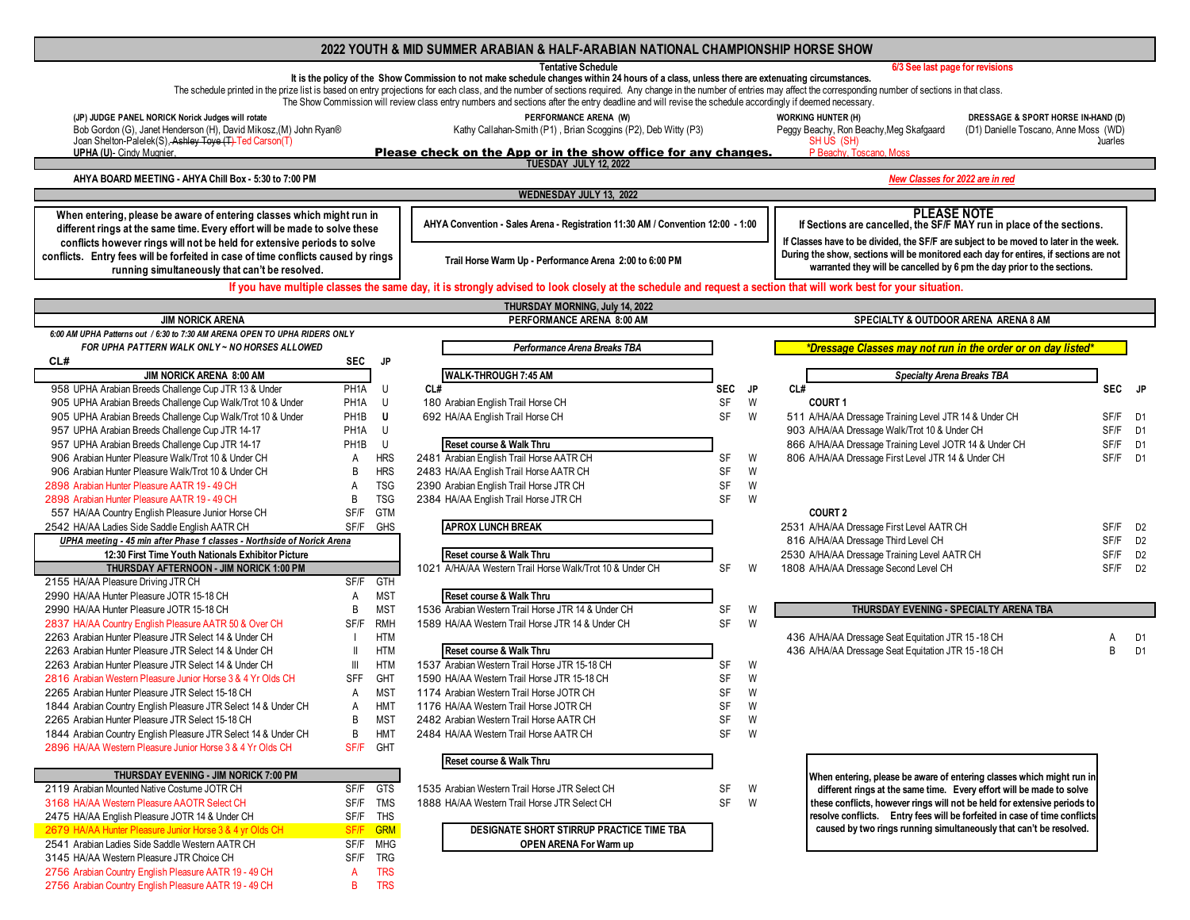# **2022 YOUTH & MID SUMMER ARABIAN & HALF-ARABIAN NATIONAL CHAMPIONSHIP HORSE SHOW**

|                                                                                                                        |                      |                          | <b>Tentative Schedule</b>                                                                                                                                                                                                                                                                                                                                                               |            |           | 6/3 See last page for revisions                                                                                                                     |                |                |
|------------------------------------------------------------------------------------------------------------------------|----------------------|--------------------------|-----------------------------------------------------------------------------------------------------------------------------------------------------------------------------------------------------------------------------------------------------------------------------------------------------------------------------------------------------------------------------------------|------------|-----------|-----------------------------------------------------------------------------------------------------------------------------------------------------|----------------|----------------|
|                                                                                                                        |                      |                          | It is the policy of the Show Commission to not make schedule changes within 24 hours of a class, unless there are extenuating circumstances.                                                                                                                                                                                                                                            |            |           |                                                                                                                                                     |                |                |
|                                                                                                                        |                      |                          | The schedule printed in the prize list is based on entry projections for each class, and the number of sections required. Any change in the number of entries may affect the corresponding number of sections in that class.<br>The Show Commission will review class entry numbers and sections after the entry deadline and will revise the schedule accordingly if deemed necessary. |            |           |                                                                                                                                                     |                |                |
|                                                                                                                        |                      |                          |                                                                                                                                                                                                                                                                                                                                                                                         |            |           |                                                                                                                                                     |                |                |
| (JP) JUDGE PANEL NORICK Norick Judges will rotate<br>Bob Gordon (G), Janet Henderson (H), David Mikosz, (M) John Ryan® |                      |                          | PERFORMANCE ARENA (W)<br>Kathy Callahan-Smith (P1), Brian Scoggins (P2), Deb Witty (P3)                                                                                                                                                                                                                                                                                                 |            |           | <b>WORKING HUNTER (H)</b><br>DRESSAGE & SPORT HORSE IN-HAND (D)<br>Peggy Beachy, Ron Beachy, Meg Skafgaard<br>(D1) Danielle Toscano, Anne Moss (WD) |                |                |
| Joan Shelton-Palelek(S), Ashley Toye (T) Ted Carson(T)                                                                 |                      |                          |                                                                                                                                                                                                                                                                                                                                                                                         |            |           | SHUS (SH)                                                                                                                                           | <b>Quarles</b> |                |
| <b>UPHA (U)- Cindy Mugnier,</b>                                                                                        |                      |                          | Please check on the App or in the show office for any changes.                                                                                                                                                                                                                                                                                                                          |            |           | P Beachy, Toscano, Moss                                                                                                                             |                |                |
|                                                                                                                        |                      |                          | TUESDAY JULY 12, 2022                                                                                                                                                                                                                                                                                                                                                                   |            |           |                                                                                                                                                     |                |                |
| AHYA BOARD MEETING - AHYA Chill Box - 5:30 to 7:00 PM                                                                  |                      |                          |                                                                                                                                                                                                                                                                                                                                                                                         |            |           | New Classes for 2022 are in red                                                                                                                     |                |                |
|                                                                                                                        |                      |                          | WEDNESDAY JULY 13, 2022                                                                                                                                                                                                                                                                                                                                                                 |            |           |                                                                                                                                                     |                |                |
| When entering, please be aware of entering classes which might run in                                                  |                      |                          |                                                                                                                                                                                                                                                                                                                                                                                         |            |           | <b>PLEASE NOTE</b>                                                                                                                                  |                |                |
| different rings at the same time. Every effort will be made to solve these                                             |                      |                          | AHYA Convention - Sales Arena - Registration 11:30 AM / Convention 12:00 - 1:00                                                                                                                                                                                                                                                                                                         |            |           | If Sections are cancelled, the SF/F MAY run in place of the sections.                                                                               |                |                |
| conflicts however rings will not be held for extensive periods to solve                                                |                      |                          |                                                                                                                                                                                                                                                                                                                                                                                         |            |           | If Classes have to be divided, the SF/F are subject to be moved to later in the week.                                                               |                |                |
| conflicts. Entry fees will be forfeited in case of time conflicts caused by rings                                      |                      |                          | Trail Horse Warm Up - Performance Arena 2:00 to 6:00 PM                                                                                                                                                                                                                                                                                                                                 |            |           | During the show, sections will be monitored each day for entires, if sections are not                                                               |                |                |
| running simultaneously that can't be resolved.                                                                         |                      |                          |                                                                                                                                                                                                                                                                                                                                                                                         |            |           | warranted they will be cancelled by 6 pm the day prior to the sections.                                                                             |                |                |
|                                                                                                                        |                      |                          | If you have multiple classes the same day, it is strongly advised to look closely at the schedule and request a section that will work best for your situation.                                                                                                                                                                                                                         |            |           |                                                                                                                                                     |                |                |
|                                                                                                                        |                      |                          |                                                                                                                                                                                                                                                                                                                                                                                         |            |           |                                                                                                                                                     |                |                |
| <b>JIM NORICK ARENA</b>                                                                                                |                      |                          | THURSDAY MORNING, July 14, 2022<br>PERFORMANCE ARENA 8:00 AM                                                                                                                                                                                                                                                                                                                            |            |           | SPECIALTY & OUTDOOR ARENA ARENA 8 AM                                                                                                                |                |                |
| 6:00 AM UPHA Patterns out / 6:30 to 7:30 AM ARENA OPEN TO UPHA RIDERS ONLY                                             |                      |                          |                                                                                                                                                                                                                                                                                                                                                                                         |            |           |                                                                                                                                                     |                |                |
| FOR UPHA PATTERN WALK ONLY ~ NO HORSES ALLOWED                                                                         |                      |                          | Performance Arena Breaks TBA                                                                                                                                                                                                                                                                                                                                                            |            |           | *Dressage Classes may not run in the order or on day listed*                                                                                        |                |                |
| CL#                                                                                                                    | <b>SEC</b>           | <b>JP</b>                |                                                                                                                                                                                                                                                                                                                                                                                         |            |           |                                                                                                                                                     |                |                |
| JIM NORICK ARENA 8:00 AM                                                                                               |                      |                          | WALK-THROUGH 7:45 AM                                                                                                                                                                                                                                                                                                                                                                    |            |           | <b>Specialty Arena Breaks TBA</b>                                                                                                                   |                |                |
| 958 UPHA Arabian Breeds Challenge Cup JTR 13 & Under                                                                   | PH <sub>1</sub> A    | U                        | CL#                                                                                                                                                                                                                                                                                                                                                                                     | <b>SEC</b> | <b>JP</b> | CL#                                                                                                                                                 | SEC JP         |                |
| 905 UPHA Arabian Breeds Challenge Cup Walk/Trot 10 & Under                                                             | PH1A                 | U                        | 180 Arabian English Trail Horse CH                                                                                                                                                                                                                                                                                                                                                      | SF         | W         | <b>COURT1</b>                                                                                                                                       |                |                |
| 905 UPHA Arabian Breeds Challenge Cup Walk/Trot 10 & Under                                                             | PH1B                 | U                        | 692 HA/AA English Trail Horse CH                                                                                                                                                                                                                                                                                                                                                        | <b>SF</b>  | W         | 511 A/HA/AA Dressage Training Level JTR 14 & Under CH                                                                                               | SF/F D1        |                |
| 957 UPHA Arabian Breeds Challenge Cup JTR 14-17                                                                        | PH1A                 | U                        |                                                                                                                                                                                                                                                                                                                                                                                         |            |           | 903 A/HA/AA Dressage Walk/Trot 10 & Under CH                                                                                                        | SF/F D1        |                |
| 957 UPHA Arabian Breeds Challenge Cup JTR 14-17                                                                        | PH <sub>1</sub> B    | U                        | Reset course & Walk Thru                                                                                                                                                                                                                                                                                                                                                                |            |           | 866 A/HA/AA Dressage Training Level JOTR 14 & Under CH                                                                                              | SF/F           | D1             |
| 906 Arabian Hunter Pleasure Walk/Trot 10 & Under CH                                                                    | A                    | <b>HRS</b>               | 2481 Arabian English Trail Horse AATR CH                                                                                                                                                                                                                                                                                                                                                | SF         | W         | 806 A/HA/AA Dressage First Level JTR 14 & Under CH                                                                                                  | SF/F D1        |                |
| 906 Arabian Hunter Pleasure Walk/Trot 10 & Under CH                                                                    | B                    | <b>HRS</b>               | 2483 HA/AA English Trail Horse AATR CH                                                                                                                                                                                                                                                                                                                                                  | SF         | W         |                                                                                                                                                     |                |                |
| 2898 Arabian Hunter Pleasure AATR 19 - 49 CH                                                                           | Α                    | <b>TSG</b>               | 2390 Arabian English Trail Horse JTR CH                                                                                                                                                                                                                                                                                                                                                 | SF         | W         |                                                                                                                                                     |                |                |
| 2898 Arabian Hunter Pleasure AATR 19 - 49 CH                                                                           | B                    | <b>TSG</b>               | 2384 HA/AA English Trail Horse JTR CH                                                                                                                                                                                                                                                                                                                                                   | <b>SF</b>  | W         |                                                                                                                                                     |                |                |
| 557 HA/AA Country English Pleasure Junior Horse CH                                                                     | SF/F                 | <b>GTM</b>               |                                                                                                                                                                                                                                                                                                                                                                                         |            |           | <b>COURT 2</b>                                                                                                                                      |                |                |
| 2542 HA/AA Ladies Side Saddle English AATR CH                                                                          | SF/F                 | GHS                      | <b>APROX LUNCH BREAK</b>                                                                                                                                                                                                                                                                                                                                                                |            |           | 2531 A/HA/AA Dressage First Level AATR CH                                                                                                           | SF/F D2        |                |
| UPHA meeting - 45 min after Phase 1 classes - Northside of Norick Arena                                                |                      |                          |                                                                                                                                                                                                                                                                                                                                                                                         |            |           | 816 A/HA/AA Dressage Third Level CH                                                                                                                 | SF/F D2        |                |
| 12:30 First Time Youth Nationals Exhibitor Picture                                                                     |                      |                          | Reset course & Walk Thru                                                                                                                                                                                                                                                                                                                                                                |            |           | 2530 A/HA/AA Dressage Training Level AATR CH                                                                                                        | SF/F           | D <sub>2</sub> |
| THURSDAY AFTERNOON - JIM NORICK 1:00 PM                                                                                |                      |                          | 1021 A/HA/AA Western Trail Horse Walk/Trot 10 & Under CH                                                                                                                                                                                                                                                                                                                                | <b>SF</b>  | W         | 1808 A/HA/AA Dressage Second Level CH                                                                                                               | SF/F D2        |                |
| 2155 HA/AA Pleasure Driving JTR CH                                                                                     | SF/F                 | GTH                      |                                                                                                                                                                                                                                                                                                                                                                                         |            |           |                                                                                                                                                     |                |                |
| 2990 HA/AA Hunter Pleasure JOTR 15-18 CH                                                                               | A                    | <b>MST</b>               | Reset course & Walk Thru                                                                                                                                                                                                                                                                                                                                                                |            |           |                                                                                                                                                     |                |                |
| 2990 HA/AA Hunter Pleasure JOTR 15-18 CH                                                                               | $\,$ B               | <b>MST</b><br><b>RMH</b> | 1536 Arabian Western Trail Horse JTR 14 & Under CH                                                                                                                                                                                                                                                                                                                                      | SF<br>SF   | W         | THURSDAY EVENING - SPECIALTY ARENA TBA                                                                                                              |                |                |
| 2837 HA/AA Country English Pleasure AATR 50 & Over CH<br>2263 Arabian Hunter Pleasure JTR Select 14 & Under CH         | SF/F<br>$\mathbf{I}$ | <b>HTM</b>               | 1589 HA/AA Western Trail Horse JTR 14 & Under CH                                                                                                                                                                                                                                                                                                                                        |            | W         | 436 A/HA/AA Dressage Seat Equitation JTR 15-18 CH                                                                                                   |                | D <sub>1</sub> |
| 2263 Arabian Hunter Pleasure JTR Select 14 & Under CH                                                                  | $\, \parallel$       | <b>HTM</b>               | Reset course & Walk Thru                                                                                                                                                                                                                                                                                                                                                                |            |           | 436 A/HA/AA Dressage Seat Equitation JTR 15-18 CH                                                                                                   | Α<br>B         | D <sub>1</sub> |
| 2263 Arabian Hunter Pleasure JTR Select 14 & Under CH                                                                  | $\mathbb{H}$         | <b>HTM</b>               | 1537 Arabian Western Trail Horse JTR 15-18 CH                                                                                                                                                                                                                                                                                                                                           | SF         | W         |                                                                                                                                                     |                |                |
| 2816 Arabian Western Pleasure Junior Horse 3 & 4 Yr Olds CH                                                            | <b>SFF</b>           | GHT                      | 1590 HA/AA Western Trail Horse JTR 15-18 CH                                                                                                                                                                                                                                                                                                                                             | SF         | W         |                                                                                                                                                     |                |                |
| 2265 Arabian Hunter Pleasure JTR Select 15-18 CH                                                                       | $\overline{A}$       | <b>MST</b>               | 1174 Arabian Western Trail Horse JOTR CH                                                                                                                                                                                                                                                                                                                                                | SF         | W         |                                                                                                                                                     |                |                |
| 1844 Arabian Country English Pleasure JTR Select 14 & Under CH                                                         | Α                    | <b>HMT</b>               | 1176 HA/AA Western Trail Horse JOTR CH                                                                                                                                                                                                                                                                                                                                                  | SF         | W         |                                                                                                                                                     |                |                |
| 2265 Arabian Hunter Pleasure JTR Select 15-18 CH                                                                       | B                    | <b>MST</b>               | 2482 Arabian Western Trail Horse AATR CH                                                                                                                                                                                                                                                                                                                                                | SF         | W         |                                                                                                                                                     |                |                |
| 1844 Arabian Country English Pleasure JTR Select 14 & Under CH                                                         | B                    | HMT                      | 2484 HA/AA Western Trail Horse AATR CH                                                                                                                                                                                                                                                                                                                                                  | SF         | W         |                                                                                                                                                     |                |                |
| 2896 HA/AA Western Pleasure Junior Horse 3 & 4 Yr Olds CH                                                              |                      | SF/F GHT                 |                                                                                                                                                                                                                                                                                                                                                                                         |            |           |                                                                                                                                                     |                |                |
|                                                                                                                        |                      |                          | Reset course & Walk Thru                                                                                                                                                                                                                                                                                                                                                                |            |           |                                                                                                                                                     |                |                |
| THURSDAY EVENING - JIM NORICK 7:00 PM                                                                                  |                      |                          |                                                                                                                                                                                                                                                                                                                                                                                         |            |           | When entering, please be aware of entering classes which might run in                                                                               |                |                |
| 2119 Arabian Mounted Native Costume JOTR CH                                                                            | SF/F                 | <b>GTS</b>               | 1535 Arabian Western Trail Horse JTR Select CH                                                                                                                                                                                                                                                                                                                                          | SF         | W         | different rings at the same time. Every effort will be made to solve                                                                                |                |                |
| 3168 HA/AA Western Pleasure AAOTR Select CH                                                                            | SF/F                 | TMS                      | 1888 HA/AA Western Trail Horse JTR Select CH                                                                                                                                                                                                                                                                                                                                            | SF         | W         | these conflicts, however rings will not be held for extensive periods to                                                                            |                |                |
| 2475 HA/AA English Pleasure JOTR 14 & Under CH                                                                         | SF/F                 | <b>THS</b>               |                                                                                                                                                                                                                                                                                                                                                                                         |            |           | resolve conflicts. Entry fees will be forfeited in case of time conflicts                                                                           |                |                |
| 2679 HA/AA Hunter Pleasure Junior Horse 3 & 4 yr Olds CH                                                               | SF/F                 | <b>GRM</b>               | DESIGNATE SHORT STIRRUP PRACTICE TIME TBA                                                                                                                                                                                                                                                                                                                                               |            |           | caused by two rings running simultaneously that can't be resolved.                                                                                  |                |                |
| 2541 Arabian Ladies Side Saddle Western AATR CH                                                                        |                      | SF/F MHG                 | <b>OPEN ARENA For Warm up</b>                                                                                                                                                                                                                                                                                                                                                           |            |           |                                                                                                                                                     |                |                |
| 3145 HA/AA Western Pleasure JTR Choice CH                                                                              | SF/F                 | TRG                      |                                                                                                                                                                                                                                                                                                                                                                                         |            |           |                                                                                                                                                     |                |                |
| 2756 Arabian Country English Pleasure AATR 19 - 49 CH                                                                  | A                    | <b>TRS</b>               |                                                                                                                                                                                                                                                                                                                                                                                         |            |           |                                                                                                                                                     |                |                |
| 2756 Arabian Country English Pleasure AATR 19 - 49 CH                                                                  | B                    | <b>TRS</b>               |                                                                                                                                                                                                                                                                                                                                                                                         |            |           |                                                                                                                                                     |                |                |
|                                                                                                                        |                      |                          |                                                                                                                                                                                                                                                                                                                                                                                         |            |           |                                                                                                                                                     |                |                |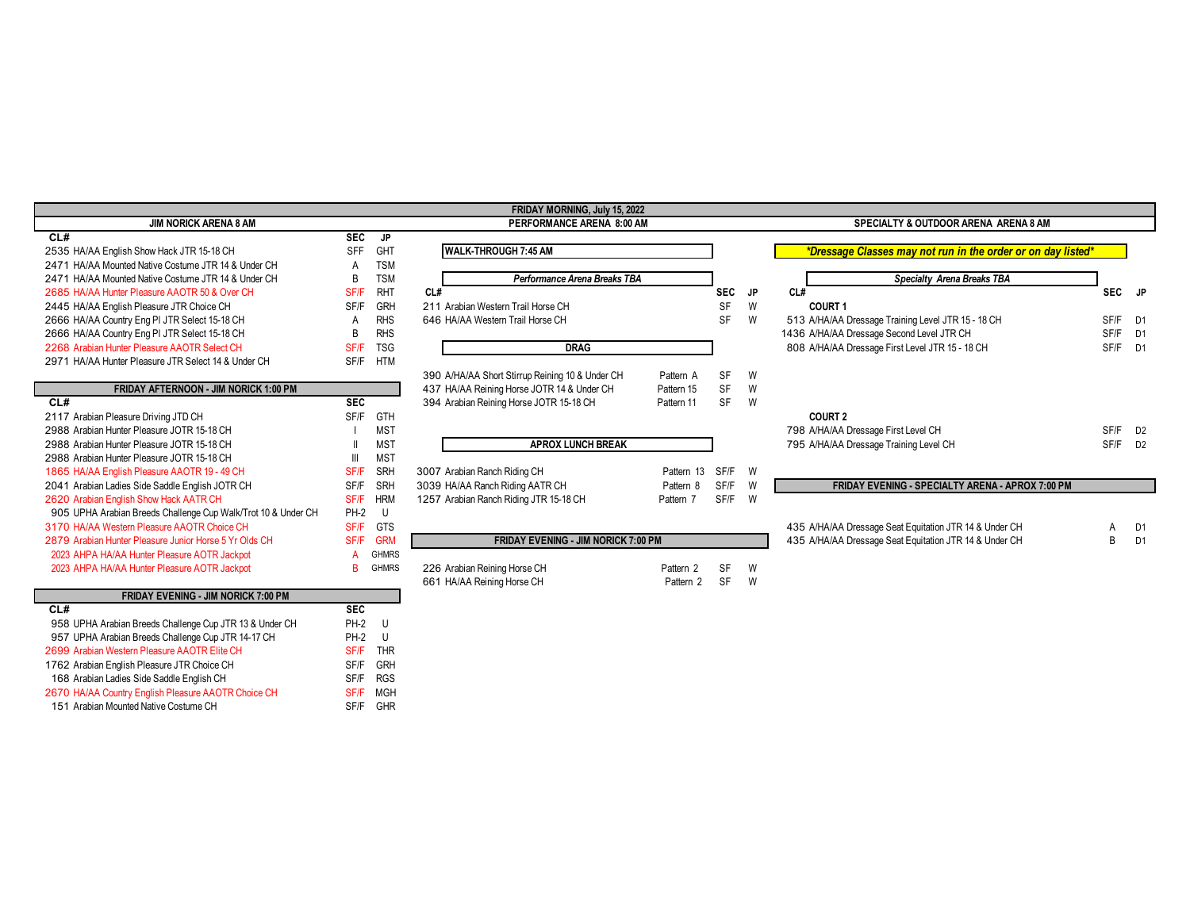## **JIM NORICK ARENA 8 AM**

| CL#                                                           | <b>SEC</b>  | JP           |                                                 |                      |            |    |                        |
|---------------------------------------------------------------|-------------|--------------|-------------------------------------------------|----------------------|------------|----|------------------------|
| 2535 HA/AA English Show Hack JTR 15-18 CH                     | <b>SFF</b>  | <b>GHT</b>   | <b>WALK-THROUGH 7:45 AM</b>                     |                      |            |    | <i><b>*Dressag</b></i> |
| 2471 HA/AA Mounted Native Costume JTR 14 & Under CH           | A           | <b>TSM</b>   |                                                 |                      |            |    |                        |
| 2471 HA/AA Mounted Native Costume JTR 14 & Under CH           | B           | <b>TSM</b>   | Performance Arena Breaks TBA                    |                      |            |    |                        |
| 2685 HA/AA Hunter Pleasure AAOTR 50 & Over CH                 | SF/F        | <b>RHT</b>   | CL#                                             |                      | <b>SEC</b> | JP | CL#                    |
| 2445 HA/AA English Pleasure JTR Choice CH                     | SF/F        | <b>GRH</b>   | 211 Arabian Western Trail Horse CH              |                      | <b>SF</b>  | W  | <b>COURT 1</b>         |
| 2666 HA/AA Country Eng PI JTR Select 15-18 CH                 | A           | <b>RHS</b>   | 646 HA/AA Western Trail Horse CH                |                      | SF         | W  | 513 A/HA/AA I          |
| 2666 HA/AA Country Eng PI JTR Select 15-18 CH                 | В           | <b>RHS</b>   |                                                 |                      |            |    | 1436 A/HA/AA I         |
| 2268 Arabian Hunter Pleasure AAOTR Select CH                  | <b>SF/F</b> | <b>TSG</b>   | <b>DRAG</b>                                     |                      |            |    | 808 A/HA/AA I          |
| 2971 HA/AA Hunter Pleasure JTR Select 14 & Under CH           | SF/F        | <b>HTM</b>   |                                                 |                      |            |    |                        |
|                                                               |             |              | 390 A/HA/AA Short Stirrup Reining 10 & Under CH | Pattern A            | <b>SF</b>  | W  |                        |
| <b>FRIDAY AFTERNOON - JIM NORICK 1:00 PM</b>                  |             |              | 437 HA/AA Reining Horse JOTR 14 & Under CH      | Pattern 15           | <b>SF</b>  | W  |                        |
| CL#                                                           | <b>SEC</b>  |              | 394 Arabian Reining Horse JOTR 15-18 CH         | Pattern 11           | SF         | W  |                        |
| 2117 Arabian Pleasure Driving JTD CH                          | SF/F        | <b>GTH</b>   |                                                 |                      |            |    | <b>COURT 2</b>         |
| 2988 Arabian Hunter Pleasure JOTR 15-18 CH                    |             | <b>MST</b>   |                                                 |                      |            |    | 798 A/HA/AA I          |
| 2988 Arabian Hunter Pleasure JOTR 15-18 CH                    |             | <b>MST</b>   | <b>APROX LUNCH BREAK</b>                        |                      |            |    | 795 A/HA/AA I          |
| 2988 Arabian Hunter Pleasure JOTR 15-18 CH                    |             | <b>MST</b>   |                                                 |                      |            |    |                        |
| 1865 HA/AA English Pleasure AAOTR 19 - 49 CH                  | SF/F        | <b>SRH</b>   | 3007 Arabian Ranch Riding CH                    | Pattern 13           | SF/F       | W  |                        |
| 2041 Arabian Ladies Side Saddle English JOTR CH               | SF/F        | <b>SRH</b>   | 3039 HA/AA Ranch Riding AATR CH                 | Pattern 8            | SF/F       | W  | <b>FRI</b>             |
| 2620 Arabian English Show Hack AATR CH                        | SF/F        | <b>HRM</b>   | 1257 Arabian Ranch Riding JTR 15-18 CH          | Pattern 7            | SF/F       | W  |                        |
| 905 UPHA Arabian Breeds Challenge Cup Walk/Trot 10 & Under CH | <b>PH-2</b> | U            |                                                 |                      |            |    |                        |
| 3170 HA/AA Western Pleasure AAOTR Choice CH                   | SF/F        | <b>GTS</b>   |                                                 |                      |            |    | 435 A/HA/AA I          |
| 2879 Arabian Hunter Pleasure Junior Horse 5 Yr Olds CH        | SF/F        | <b>GRM</b>   | <b>FRIDAY EVENING - JIM NORICK 7:00 PM</b>      |                      |            |    | 435 A/HA/AA I          |
| 2023 AHPA HA/AA Hunter Pleasure AOTR Jackpot                  | А           | <b>GHMRS</b> |                                                 |                      |            |    |                        |
| 2023 AHPA HA/AA Hunter Pleasure AOTR Jackpot                  | в           | <b>GHMRS</b> | 226 Arabian Reining Horse CH                    | Pattern <sub>2</sub> | SF         | W  |                        |
|                                                               |             |              | 661 HA/AA Reining Horse CH                      | Pattern 2            | <b>SF</b>  | W  |                        |
|                                                               |             |              |                                                 |                      |            |    |                        |

## **FRIDAY EVENING - JIM NORICK 7:00 PM**

**-**

Г

| CL# |                                                         | <b>SEC</b>  |            |
|-----|---------------------------------------------------------|-------------|------------|
|     | 958 UPHA Arabian Breeds Challenge Cup JTR 13 & Under CH | <b>PH-2</b> | -U         |
|     | 957 UPHA Arabian Breeds Challenge Cup JTR 14-17 CH      | <b>PH-2</b> | U          |
|     | 2699 Arabian Western Pleasure AAOTR Elite CH            | <b>SF/F</b> | THR        |
|     | 1762 Arabian English Pleasure JTR Choice CH             | <b>SF/F</b> | <b>GRH</b> |
|     | 168 Arabian Ladies Side Saddle English CH               | <b>SF/F</b> | <b>RGS</b> |
|     | 2670 HA/AA Country English Pleasure AAOTR Choice CH     | <b>SF/F</b> | MGH        |
|     | 151 Arabian Mounted Native Costume CH                   | <b>SF/F</b> | <b>GHR</b> |

# GHT **WALK-THROUGH 7:45 AM**  HA/AA Mounted Native Costume JTR 14 & Under CH B TSM *Performance Arena Breaks TBA Specialty Arena Breaks TBA* - Arabian Western Trail Horse CH SF W **COURT 1** RHS 646 HA/AA Western Trail Horse CH **A RHS 8 A RHS SE** W

**FRIDAY MORNING, July 15, 2022**

### MST **APROX LUNCH BREAK**

#### GRM **FRIDAY EVENING - JIM NORICK 7:00 PM And Alternative Seat Equitation JTR 14 & Under CH** B D1

## **PERFORMANCE ARENA 8:00 AM SPECIALTY & OUTDOOR ARENA ARENA 8 AM**

# *\*Dressage Classes may not run in the order or on day listed\**

| 2471 HA/AA Mounted Native Costume JTR 14 & Under CH           |             | 1SM        |                                                 |            |            |     |                                                         |            |                |
|---------------------------------------------------------------|-------------|------------|-------------------------------------------------|------------|------------|-----|---------------------------------------------------------|------------|----------------|
| 2471 HA/AA Mounted Native Costume JTR 14 & Under CH           | B           | <b>TSM</b> | Performance Arena Breaks TBA                    |            |            |     | <b>Specialty Arena Breaks TBA</b>                       |            |                |
| 2685 HA/AA Hunter Pleasure AAOTR 50 & Over CH                 | SF/F        | <b>RHT</b> | CL#                                             |            | <b>SEC</b> | JP. | CL#                                                     | <b>SEC</b> | JP.            |
| 2445 HA/AA English Pleasure JTR Choice CH                     | SF/F        | GRH        | 211 Arabian Western Trail Horse CH              |            | SF         | W   | <b>COURT 1</b>                                          |            |                |
| 2666 HA/AA Country Eng PI JTR Select 15-18 CH                 |             | <b>RHS</b> | 646 HA/AA Western Trail Horse CH                |            | SF         | W   | 513 A/HA/AA Dressage Training Level JTR 15 - 18 CH      | SF/F D1    |                |
| 2666 HA/AA Country Eng PI JTR Select 15-18 CH                 | R           | <b>RHS</b> |                                                 |            |            |     | 1436 A/HA/AA Dressage Second Level JTR CH               | SF/F       | D1             |
| 2268 Arabian Hunter Pleasure AAOTR Select CH                  | SF/F        | <b>TSG</b> | <b>DRAG</b>                                     |            |            |     | 808 A/HA/AA Dressage First Level JTR 15 - 18 CH         | SF/F D1    |                |
| 2971 HA/AA Hunter Pleasure JTR Select 14 & Under CH           | SF/F        | HTM        |                                                 |            |            |     |                                                         |            |                |
|                                                               |             |            | 390 A/HA/AA Short Stirrup Reining 10 & Under CH | Pattern A  | <b>SF</b>  | W   |                                                         |            |                |
| <b>FRIDAY AFTERNOON - JIM NORICK 1:00 PM</b>                  |             |            | 437 HA/AA Reining Horse JOTR 14 & Under CH      | Pattern 15 | SF         | W   |                                                         |            |                |
| CL#                                                           | <b>SEC</b>  |            | 394 Arabian Reining Horse JOTR 15-18 CH         | Pattern 11 | <b>SF</b>  | W   |                                                         |            |                |
| 2117 Arabian Pleasure Driving JTD CH                          | SF/F        | GTH        |                                                 |            |            |     | <b>COURT 2</b>                                          |            |                |
| 2988 Arabian Hunter Pleasure JOTR 15-18 CH                    |             | <b>MST</b> |                                                 |            |            |     | 798 A/HA/AA Dressage First Level CH                     | SF/F       | D <sub>2</sub> |
| 2988 Arabian Hunter Pleasure JOTR 15-18 CH                    |             | <b>MST</b> | <b>APROX LUNCH BREAK</b>                        |            |            |     | 795 A/HA/AA Dressage Training Level CH                  | SF/F       | D <sub>2</sub> |
| 2988 Arabian Hunter Pleasure JOTR 15-18 CH                    |             | <b>MST</b> |                                                 |            |            |     |                                                         |            |                |
| 1865 HA/AA English Pleasure AAOTR 19 - 49 CH                  | <b>SF/F</b> | SRH        | 3007 Arabian Ranch Riding CH                    | Pattern 13 | SF/F       | - W |                                                         |            |                |
| 2041 Arabian Ladies Side Saddle English JOTR CH               | SF/F        | SRH        | 3039 HA/AA Ranch Riding AATR CH                 | Pattern 8  | SF/F       | W   | <b>FRIDAY EVENING - SPECIALTY ARENA - APROX 7:00 PM</b> |            |                |
| 2620 Arabian English Show Hack AATR CH                        | SF/F        | <b>HRM</b> | 1257 Arabian Ranch Riding JTR 15-18 CH          | Pattern 7  | SF/F       | W   |                                                         |            |                |
| 905 UPHA Arabian Breeds Challenge Cup Walk/Trot 10 & Under CH | PH-2 U      |            |                                                 |            |            |     |                                                         |            |                |
| 3170 HA/AA Western Pleasure AAOTR Choice CH                   | SF/F        | GTS        |                                                 |            |            |     | 435 A/HA/AA Dressage Seat Equitation JTR 14 & Under CH  | A          | D1             |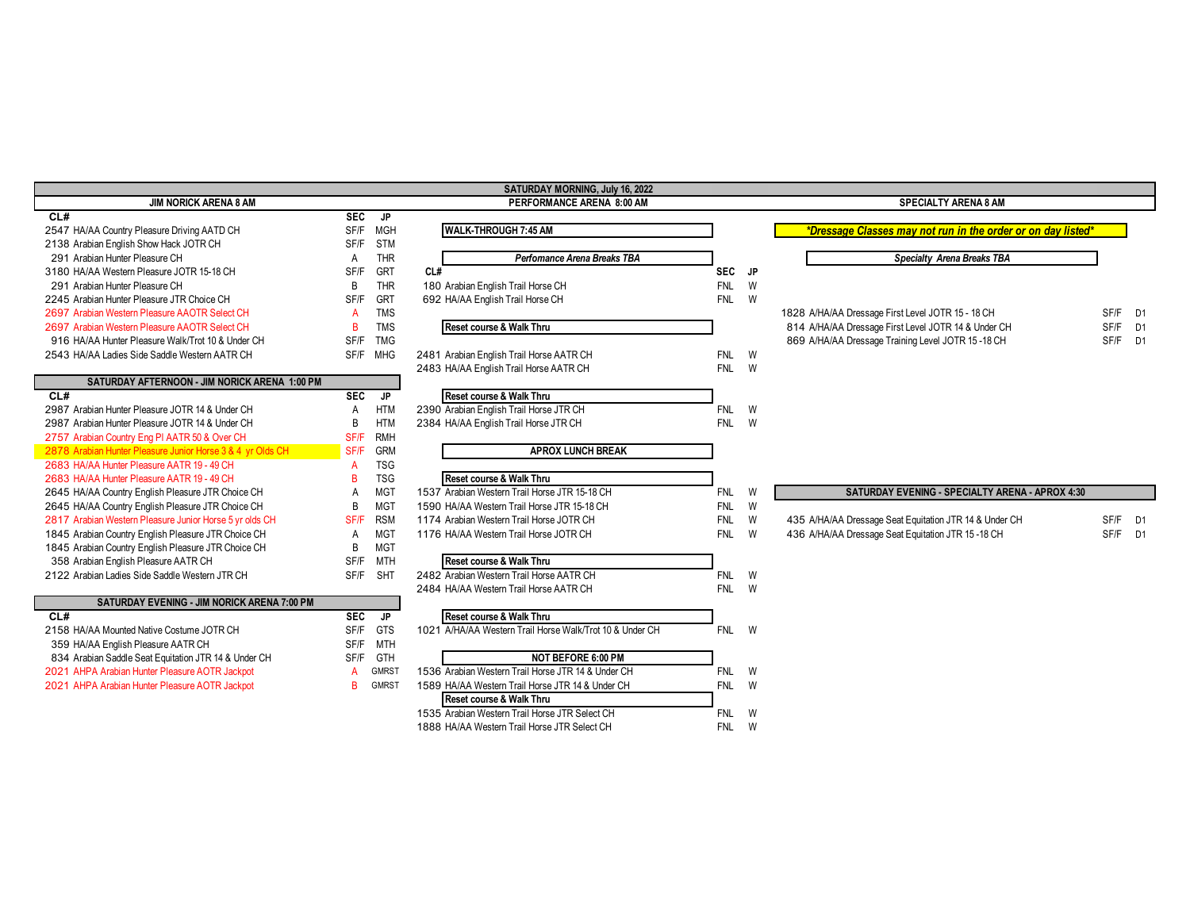## **JIM NORICK ARENA 8 AM**

| CL#                                               | <b>SEC</b> | JP         |                                          |            |          |                                                     |
|---------------------------------------------------|------------|------------|------------------------------------------|------------|----------|-----------------------------------------------------|
| 2547 HA/AA Country Pleasure Driving AATD CH       | SF/F       | MGH        | <b>WALK-THROUGH 7:45 AM</b>              |            |          | *Dressage Classes may not run in the orde           |
| 2138 Arabian English Show Hack JOTR CH            | SF/F       | <b>STM</b> |                                          |            |          |                                                     |
| 291 Arabian Hunter Pleasure CH                    |            | <b>THR</b> | Perfomance Arena Breaks TBA              |            |          | Specialty Arena Breaks TBA                          |
| 3180 HA/AA Western Pleasure JOTR 15-18 CH         | SF/F       | GRT        | CL#                                      | SEC JP     |          |                                                     |
| 291 Arabian Hunter Pleasure CH                    | B.         | <b>THR</b> | 180 Arabian English Trail Horse CH       | <b>FNL</b> | W        |                                                     |
| 2245 Arabian Hunter Pleasure JTR Choice CH        | SF/F       | <b>GRT</b> | 692 HA/AA English Trail Horse CH         | <b>FNL</b> | W        |                                                     |
| 2697 Arabian Western Pleasure AAOTR Select CH     |            | <b>TMS</b> |                                          |            |          | 1828 A/HA/AA Dressage First Level JOTR 15 - 18 CH   |
| 2697 Arabian Western Pleasure AAOTR Select CH     | в          | <b>TMS</b> | Reset course & Walk Thru                 |            |          | 814 A/HA/AA Dressage First Level JOTR 14 & Under CH |
| 916 HA/AA Hunter Pleasure Walk/Trot 10 & Under CH | SF/F       | TMG        |                                          |            |          | 869 A/HA/AA Dressage Training Level JOTR 15-18 CH   |
| 2543 HA/AA Ladies Side Saddle Western AATR CH     | SF/F       | MHG        | 2481 Arabian English Trail Horse AATR CH | <b>FNL</b> | <b>W</b> |                                                     |
|                                                   |            |            | 2483 HA/AA English Trail Horse AATR CH   | FNL        | W        |                                                     |
| SATURDAY AFTERNOON - JIM NORICK ARENA 1:00 PM     |            |            |                                          |            |          |                                                     |
| CL#                                               | <b>SEC</b> | JP.        | Reset course & Walk Thru                 |            |          |                                                     |
| 2987 Arabian Hunter Pleasure JOTR 14 & Under CH   | A          | <b>HTM</b> | 2390 Arabian English Trail Horse JTR CH  | <b>FNL</b> | W        |                                                     |
| 2987 Arabian Hunter Pleasure JOTR 14 & Under CH   | В          | <b>HTM</b> | 2384 HA/AA English Trail Horse JTR CH    | <b>FNL</b> | W        |                                                     |
| 2757 Arahian Country Eng PLAATR 50 & Over CH      | SE/F       | RMH        |                                          |            |          |                                                     |

| 2987 Arabian Hunter Pleasure JOTR 14 & Under CH            | B    | <b>HTM</b> | 2384 HA/AA English Trail Horse JTR CH           | <b>W</b><br>FNL |  |
|------------------------------------------------------------|------|------------|-------------------------------------------------|-----------------|--|
| 2757 Arabian Country Eng PI AATR 50 & Over CH              | SF/F | <b>RMH</b> |                                                 |                 |  |
| 2878 Arabian Hunter Pleasure Junior Horse 3 & 4 yr Olds CH | SF/F | <b>GRM</b> | <b>APROX LUNCH BREAK</b>                        |                 |  |
| 2683 HA/AA Hunter Pleasure AATR 19 - 49 CH                 | А    | TSG        |                                                 |                 |  |
| 2683 HA/AA Hunter Pleasure AATR 19 - 49 CH                 | в    | TSG        | Reset course & Walk Thru                        |                 |  |
| 2645 HA/AA Country English Pleasure JTR Choice CH          | A    | MGT        | 1537 Arabian Western Trail Horse JTR 15-18 CH   | <b>W</b><br>FNL |  |
| 2645 HA/AA Country English Pleasure JTR Choice CH          | B    | MGT        | 1590 HA/AA Western Trail Horse JTR 15-18 CH     | FNL<br>- W      |  |
| 2817 Arabian Western Pleasure Junior Horse 5 yr olds CH    | SF/F | <b>RSM</b> | 1174 Arabian Western Trail Horse JOTR CH        | FNL<br><b>W</b> |  |
| 1845 Arabian Country English Pleasure JTR Choice CH        | A    | MGT        | 1176 HA/AA Western Trail Horse JOTR CH          | FNL W           |  |
| 1845 Arabian Country English Pleasure JTR Choice CH        | B    | MGT        |                                                 |                 |  |
| 358 Arabian English Pleasure AATR CH                       | SF/F | MTH        | Reset course & Walk Thru                        |                 |  |
| 2122 Arabian Ladies Side Saddle Western JTR CH             | SF/F | <b>SHT</b> | 2482 Arabian Western Trail Horse AATR CH        | - W<br>FNL      |  |
|                                                            |      |            | <b>Q404 LIA/AA Western Troil Liazes AATD CU</b> | $F N H$ $M$     |  |

| <b>SATURDAY EVENING - JIM NORICK ARENA 7:00 PM</b>   |            |              |                                                   |
|------------------------------------------------------|------------|--------------|---------------------------------------------------|
| CL#                                                  | <b>SEC</b> | JP           | Reset course & Walk Thru                          |
| 2158 HA/AA Mounted Native Costume JOTR CH            | SF/F       | GTS          | 1021 A/HA/AA Western Trail Horse Walk/Trot 10 & I |
| 359 HA/AA English Pleasure AATR CH                   | SF/F       | MTH          |                                                   |
| 834 Arabian Saddle Seat Equitation JTR 14 & Under CH | SF/F       | GTH          | <b>NOT BEFORE 6:00 PM</b>                         |
| 2021 AHPA Arabian Hunter Pleasure AOTR Jackpot       | Δ          | <b>GMRST</b> | 1536 Arabian Western Trail Horse JTR 14 & Under ( |
| 2021 AHPA Arabian Hunter Pleasure AOTR Jackpot       |            | <b>GMRST</b> | 1589 HA/AA Western Trail Horse JTR 14 & Under C   |

# **SATURDAY MORNING, July 16, 2022**

|                                    | Perfomance Arena Breaks TBA |
|------------------------------------|-----------------------------|
|                                    |                             |
| 180 Arabian English Trail Horse CH |                             |
| 692 HA/AA English Trail Horse CH   |                             |
| Reset course & Walk Thru           |                             |

| Reset course & Walk Thru                |            |   |
|-----------------------------------------|------------|---|
| 2390 Arabian English Trail Horse JTR CH | <b>FNL</b> | w |
| 2384 HA/AA English Trail Horse JTR CH   | <b>FNL</b> | W |

## **ARM** APROX LUNCH BREAK

| Reset course & Walk Thru                                 |            |   |                                                        |      |    |
|----------------------------------------------------------|------------|---|--------------------------------------------------------|------|----|
| 1537 Arabian Western Trail Horse JTR 15-18 CH            | <b>FNL</b> | W | <b>SATURDAY EVENING - SPECIALTY ARENA - APROX 4:30</b> |      |    |
| 1590 HA/AA Western Trail Horse JTR 15-18 CH              | <b>FNL</b> | W |                                                        |      |    |
| 1174 Arabian Western Trail Horse JOTR CH                 | <b>FNL</b> | W | 435 A/HA/AA Dressage Seat Equitation JTR 14 & Under CH | SF/F | D' |
| 1176 HA/AA Western Trail Horse JOTR CH                   | <b>FNL</b> | W | 436 A/HA/AA Dressage Seat Equitation JTR 15-18 CH      | SF/F | D' |
| Reset course & Walk Thru                                 |            |   |                                                        |      |    |
| 2482 Arabian Western Trail Horse AATR CH                 | <b>FNL</b> | W |                                                        |      |    |
| 2484 HA/AA Western Trail Horse AATR CH                   | <b>FNL</b> | W |                                                        |      |    |
| Reset course & Walk Thru                                 |            |   |                                                        |      |    |
| 1021 A/HA/AA Western Trail Horse Walk/Trot 10 & Under CH | <b>FNL</b> | W |                                                        |      |    |
| NAT BEFARE 6.00 BM                                       |            |   |                                                        |      |    |

| <b>NOT BEFORE 6:00 PM</b>                          |            |   |
|----------------------------------------------------|------------|---|
| 1536 Arabian Western Trail Horse JTR 14 & Under CH | <b>FNI</b> | W |
| 1589 HA/AA Western Trail Horse JTR 14 & Under CH   | FNI        | W |
| Reset course & Walk Thru                           |            |   |
| 1535 Arabian Western Trail Horse JTR Select CH     | <b>FNI</b> | W |
| 1888 HA/AA Western Trail Horse JTR Select CH       | FNI        | W |

# **PERFORMANCE ARENA 8:00 AM SPECIALTY ARENA 8 AM**

| Specialty Arena Breaks TBA                                                                               |             |
|----------------------------------------------------------------------------------------------------------|-------------|
|                                                                                                          | <b>SF/F</b> |
| 1828 A/HA/AA Dressage First Level JOTR 15 - 18 CH<br>814 A/HA/AA Dressage First Level JOTR 14 & Under CH | SF/F        |

| <b>SATURDAY EVENING - SPECIALTY ARENA - APROX 4:30</b> |  |
|--------------------------------------------------------|--|

| 74 Arabian Western Trail Horse JOTR CH |  | 435 A/HA/AA Dressage Seat Equitation JTR 14 & Under CH | SF/F D'      |  |
|----------------------------------------|--|--------------------------------------------------------|--------------|--|
| 76. HA/AA Western Trail Horse JOTR CH  |  | 436 A/HA/AA Dressage Seat Equitation JTR 15-18 CH      | $S$ F/F $D'$ |  |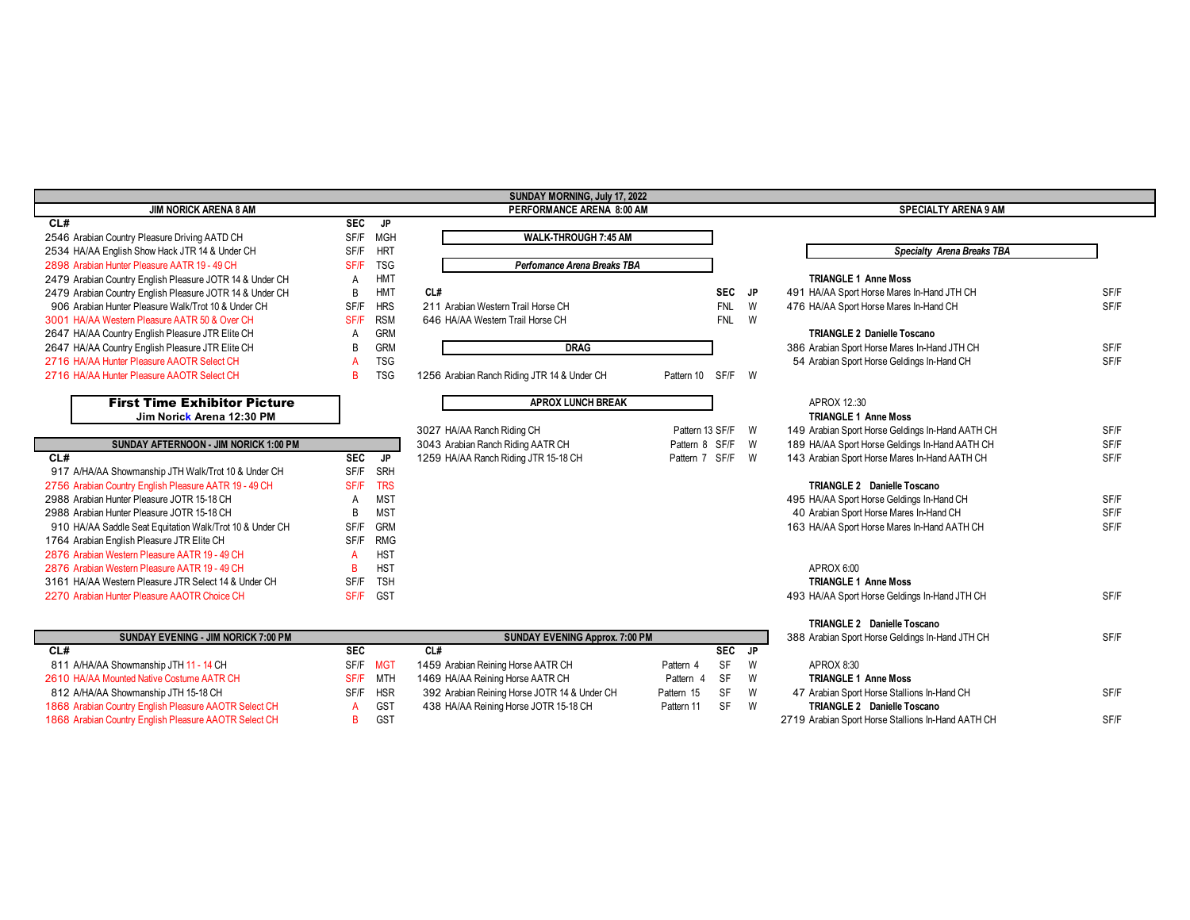|                                                          |            |            | SUNDAY MORNING, July 17, 2022                |                 |            |          |                                                    |      |
|----------------------------------------------------------|------------|------------|----------------------------------------------|-----------------|------------|----------|----------------------------------------------------|------|
| <b>JIM NORICK ARENA 8 AM</b>                             |            |            | PERFORMANCE ARENA 8:00 AM                    |                 |            |          | <b>SPECIALTY ARENA 9 AM</b>                        |      |
| CL#                                                      | SEC        | <b>JP</b>  |                                              |                 |            |          |                                                    |      |
| 2546 Arabian Country Pleasure Driving AATD CH            | SF/F       | <b>MGH</b> | WALK-THROUGH 7:45 AM                         |                 |            |          |                                                    |      |
| 2534 HA/AA English Show Hack JTR 14 & Under CH           | SF/F       | <b>HRT</b> |                                              |                 |            |          | <b>Specialty Arena Breaks TBA</b>                  |      |
| 2898 Arabian Hunter Pleasure AATR 19 - 49 CH             | SF/F       | <b>TSG</b> | Perfomance Arena Breaks TBA                  |                 |            |          |                                                    |      |
| 2479 Arabian Country English Pleasure JOTR 14 & Under CH | A          | <b>HMT</b> |                                              |                 |            |          | <b>TRIANGLE 1 Anne Moss</b>                        |      |
| 2479 Arabian Country English Pleasure JOTR 14 & Under CH | B          | <b>HMT</b> | CL#                                          |                 | SEC JP     |          | 491 HA/AA Sport Horse Mares In-Hand JTH CH         | SF/F |
| 906 Arabian Hunter Pleasure Walk/Trot 10 & Under CH      | SF/F       | <b>HRS</b> | 211 Arabian Western Trail Horse CH           |                 | <b>FNL</b> | W        | 476 HA/AA Sport Horse Mares In-Hand CH             | SF/F |
| 3001 HA/AA Western Pleasure AATR 50 & Over CH            | SF/F       | <b>RSM</b> | 646 HA/AA Western Trail Horse CH             |                 | <b>FNL</b> | <b>W</b> |                                                    |      |
| 2647 HA/AA Country English Pleasure JTR Elite CH         | Α          | <b>GRM</b> |                                              |                 |            |          | <b>TRIANGLE 2 Danielle Toscano</b>                 |      |
| 2647 HA/AA Country English Pleasure JTR Elite CH         | B          | <b>GRM</b> | <b>DRAG</b>                                  |                 |            |          | 386 Arabian Sport Horse Mares In-Hand JTH CH       | SF/F |
| 2716 HA/AA Hunter Pleasure AAOTR Select CH               |            | <b>TSG</b> |                                              |                 |            |          | 54 Arabian Sport Horse Geldings In-Hand CH         | SF/F |
| 2716 HA/AA Hunter Pleasure AAOTR Select CH               | R          | <b>TSG</b> | 1256 Arabian Ranch Riding JTR 14 & Under CH  | Pattern 10      | SF/F       | <b>W</b> |                                                    |      |
| <b>First Time Exhibitor Picture</b>                      |            |            | <b>APROX LUNCH BREAK</b>                     |                 |            |          | APROX 12:30                                        |      |
| Jim Norick Arena 12:30 PM                                |            |            |                                              |                 |            |          | <b>TRIANGLE 1 Anne Moss</b>                        |      |
|                                                          |            |            | 3027 HA/AA Ranch Riding CH                   | Pattern 13 SF/F |            | <b>W</b> | 149 Arabian Sport Horse Geldings In-Hand AATH CH   | SF/F |
| SUNDAY AFTERNOON - JIM NORICK 1:00 PM                    |            |            | 3043 Arabian Ranch Riding AATR CH            | Pattern 8 SF    | /F         | <b>W</b> | 189 HA/AA Sport Horse Geldings In-Hand AATH CH     | SF/F |
| CL#                                                      | <b>SEC</b> | <b>JP</b>  | 1259 HA/AA Ranch Riding JTR 15-18 CH         | Pattern 7       | SF/F       | <b>W</b> | 143 Arabian Sport Horse Mares In-Hand AATH CH      | SF/F |
| 917 A/HA/AA Showmanship JTH Walk/Trot 10 & Under CH      | SF/F       | SRH        |                                              |                 |            |          |                                                    |      |
| 2756 Arabian Country English Pleasure AATR 19 - 49 CH    | SF/F       | <b>TRS</b> |                                              |                 |            |          | TRIANGLE 2 Danielle Toscano                        |      |
| 2988 Arabian Hunter Pleasure JOTR 15-18 CH               | A          | <b>MST</b> |                                              |                 |            |          | 495 HA/AA Sport Horse Geldings In-Hand CH          | SF/F |
| 2988 Arabian Hunter Pleasure JOTR 15-18 CH               | B          | <b>MST</b> |                                              |                 |            |          | 40 Arabian Sport Horse Mares In-Hand CH            | SF/F |
| 910 HA/AA Saddle Seat Equitation Walk/Trot 10 & Under CH | SF/F       | <b>GRM</b> |                                              |                 |            |          | 163 HA/AA Sport Horse Mares In-Hand AATH CH        | SF/F |
| 1764 Arabian English Pleasure JTR Elite CH               | SF/F       | <b>RMG</b> |                                              |                 |            |          |                                                    |      |
| 2876 Arabian Western Pleasure AATR 19 - 49 CH            | A          | <b>HST</b> |                                              |                 |            |          |                                                    |      |
| 2876 Arabian Western Pleasure AATR 19 - 49 CH            | B          | <b>HST</b> |                                              |                 |            |          | APROX 6:00                                         |      |
| 3161 HA/AA Western Pleasure JTR Select 14 & Under CH     | SF/F       | <b>TSH</b> |                                              |                 |            |          | <b>TRIANGLE 1 Anne Moss</b>                        |      |
| 2270 Arabian Hunter Pleasure AAOTR Choice CH             | SF/F       | <b>GST</b> |                                              |                 |            |          | 493 HA/AA Sport Horse Geldings In-Hand JTH CH      | SF/F |
|                                                          |            |            |                                              |                 |            |          |                                                    |      |
|                                                          |            |            |                                              |                 |            |          | TRIANGLE 2 Danielle Toscano                        |      |
| <b>SUNDAY EVENING - JIM NORICK 7:00 PM</b>               |            |            | <b>SUNDAY EVENING Approx. 7:00 PM</b>        |                 |            |          | 388 Arabian Sport Horse Geldings In-Hand JTH CH    | SF/F |
| CL#                                                      | <b>SEC</b> |            | CL#                                          |                 | <b>SEC</b> | JP       |                                                    |      |
| 811 A/HA/AA Showmanship JTH 11 - 14 CH                   | SF/F       | <b>MGT</b> | 1459 Arabian Reining Horse AATR CH           | Pattern 4       | <b>SF</b>  | W        | APROX 8:30                                         |      |
| 2610 HA/AA Mounted Native Costume AATR CH                | SF/F       | <b>MTH</b> | 1469 HA/AA Reining Horse AATR CH             | Pattern 4       | <b>SF</b>  | W        | <b>TRIANGLE 1 Anne Moss</b>                        |      |
| 812 A/HA/AA Showmanship JTH 15-18 CH                     | SF/F       | <b>HSR</b> | 392 Arabian Reining Horse JOTR 14 & Under CH | Pattern 15      | SF         | W        | 47 Arabian Sport Horse Stallions In-Hand CH        | SF/F |
| 1868 Arabian Country English Pleasure AAOTR Select CH    | A          | GST        | 438 HA/AA Reining Horse JOTR 15-18 CH        | Pattern 11      | <b>SF</b>  | W        | TRIANGLE 2 Danielle Toscano                        |      |
| 1868 Arabian Country English Pleasure AAOTR Select CH    | B          | GST        |                                              |                 |            |          | 2719 Arabian Sport Horse Stallions In-Hand AATH CH | SF/F |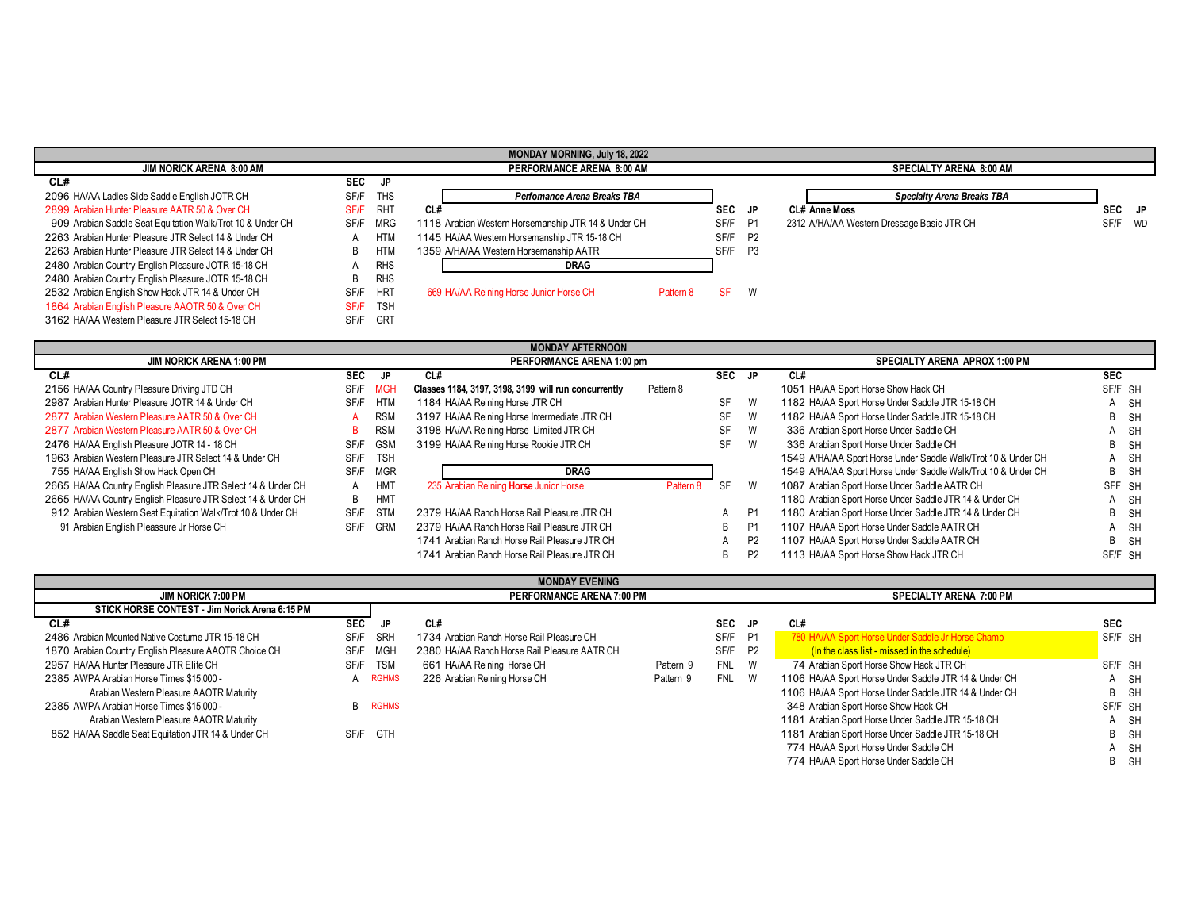|                                                            |            |            | <b>MONDAY MORNING, July 18, 2022</b>                |           |            |           |                                            |         |
|------------------------------------------------------------|------------|------------|-----------------------------------------------------|-----------|------------|-----------|--------------------------------------------|---------|
| <b>JIM NORICK ARENA 8:00 AM</b>                            |            |            | PERFORMANCE ARENA 8:00 AM                           |           |            |           | <b>SPECIALTY ARENA 8:00 AM</b>             |         |
| CL#                                                        | <b>SEC</b> | JP.        |                                                     |           |            |           |                                            |         |
| 2096 HA/AA Ladies Side Saddle English JOTR CH              | SF/F       | <b>THS</b> | Perfomance Arena Breaks TBA                         |           |            |           | <b>Specialty Arena Breaks TBA</b>          |         |
| 2899 Arabian Hunter Pleasure AATR 50 & Over CH             | SF/F       | <b>RHT</b> | CL#                                                 |           | <b>SEC</b> | JP.       | <b>CL# Anne Moss</b>                       | SEC JP  |
| 909 Arabian Saddle Seat Equitation Walk/Trot 10 & Under CH | SF/F       | MRG        | 1118 Arabian Western Horsemanship JTR 14 & Under CH |           | SF/F       | <b>P1</b> | 2312 A/HA/AA Western Dressage Basic JTR CH | SF/F WD |
| 2263 Arabian Hunter Pleasure JTR Select 14 & Under CH      |            | HTM        | 1145 HA/AA Western Horsemanship JTR 15-18 CH        |           | SF/F       | <b>P2</b> |                                            |         |
| 2263 Arabian Hunter Pleasure JTR Select 14 & Under CH      | B          | <b>HTM</b> | 1359 A/HA/AA Western Horsemanship AATR              |           | SF/F       | <b>P3</b> |                                            |         |
| 2480 Arabian Country English Pleasure JOTR 15-18 CH        | A          | <b>RHS</b> | DRAG                                                |           |            |           |                                            |         |
| 2480 Arabian Country English Pleasure JOTR 15-18 CH        | B          | <b>RHS</b> |                                                     |           |            |           |                                            |         |
| 2532 Arabian English Show Hack JTR 14 & Under CH           | SF/F       | <b>HRT</b> | 669 HA/AA Reining Horse Junior Horse CH             | Pattern 8 | <b>SF</b>  | W         |                                            |         |
| 1864 Arabian English Pleasure AAOTR 50 & Over CH           | SF/F       | <b>TSH</b> |                                                     |           |            |           |                                            |         |
| 3162 HA/AA Western Pleasure JTR Select 15-18 CH            | SF/F       | GRT        |                                                     |           |            |           |                                            |         |
|                                                            |            |            |                                                     |           |            |           |                                            |         |
|                                                            |            |            | MONDAY AFTERNOON                                    |           |            |           |                                            |         |

|                                                                |            |            | 110112717111110011                                   |           |           |                |                                                               |            |  |  |  |
|----------------------------------------------------------------|------------|------------|------------------------------------------------------|-----------|-----------|----------------|---------------------------------------------------------------|------------|--|--|--|
| <b>JIM NORICK ARENA 1:00 PM</b>                                |            |            | PERFORMANCE ARENA 1:00 pm                            |           |           |                | SPECIALTY ARENA APROX 1:00 PM                                 |            |  |  |  |
| CL#                                                            | <b>SEC</b> | JP         | CL#                                                  |           | SEC JP    |                | CL#                                                           | <b>SEC</b> |  |  |  |
| 2156 HA/AA Country Pleasure Driving JTD CH                     | SF/F       | MGH        | Classes 1184, 3197, 3198, 3199 will run concurrently | Pattern 8 |           |                | 1051 HA/AA Sport Horse Show Hack CH                           | SF/F SH    |  |  |  |
| 2987 Arabian Hunter Pleasure JOTR 14 & Under CH                | SF/F       | <b>HTM</b> | 1184 HA/AA Reining Horse JTR CH                      |           | SF        | W              | 1182 HA/AA Sport Horse Under Saddle JTR 15-18 CH              | A SH       |  |  |  |
| 2877 Arabian Western Pleasure AATR 50 & Over CH                |            | <b>RSM</b> | 3197 HA/AA Reining Horse Intermediate JTR CH         |           | SF        | W              | 1182 HA/AA Sport Horse Under Saddle JTR 15-18 CH              | B SH       |  |  |  |
| 2877 Arabian Western Pleasure AATR 50 & Over CH                | B.         | <b>RSM</b> | 3198 HA/AA Reining Horse Limited JTR CH              |           | <b>SF</b> | W              | 336 Arabian Sport Horse Under Saddle CH                       | A SH       |  |  |  |
| 2476 HA/AA English Pleasure JOTR 14 - 18 CH                    | SF/F       | <b>GSM</b> | 3199 HA/AA Reining Horse Rookie JTR CH               |           | SF        | W              | 336 Arabian Sport Horse Under Saddle CH                       | B SH       |  |  |  |
| 1963 Arabian Western Pleasure JTR Select 14 & Under CH<br>SF/F |            | <b>TSH</b> |                                                      |           |           |                | 1549 A/HA/AA Sport Horse Under Saddle Walk/Trot 10 & Under CH | A SH       |  |  |  |
| 755 HA/AA English Show Hack Open CH                            | SF/F       | MGR        | <b>DRAG</b>                                          |           |           |                | 1549 A/HA/AA Sport Horse Under Saddle Walk/Trot 10 & Under CH | B SH       |  |  |  |
| 2665 HA/AA Country English Pleasure JTR Select 14 & Under CH   | A          | <b>HMT</b> | 235 Arabian Reining Horse Junior Horse               | Pattern 8 | <b>SF</b> | W              | 1087 Arabian Sport Horse Under Saddle AATR CH                 | SFF SH     |  |  |  |
| 2665 HA/AA Country English Pleasure JTR Select 14 & Under CH   | B          | HMT        |                                                      |           |           |                | 1180 Arabian Sport Horse Under Saddle JTR 14 & Under CH       | A SH       |  |  |  |
| 912 Arabian Western Seat Equitation Walk/Trot 10 & Under CH    | SF/F       | STM        | 2379 HA/AA Ranch Horse Rail Pleasure JTR CH          |           |           | P <sub>1</sub> | 1180 Arabian Sport Horse Under Saddle JTR 14 & Under CH       | B SH       |  |  |  |
| 91 Arabian English Pleassure Jr Horse CH                       | SF/F       | <b>GRM</b> | 2379 HA/AA Ranch Horse Rail Pleasure JTR CH          |           | B.        | P <sub>1</sub> | 1107 HA/AA Sport Horse Under Saddle AATR CH                   | A SH       |  |  |  |
|                                                                |            |            | 1741 Arabian Ranch Horse Rail Pleasure JTR CH        |           |           | P <sub>2</sub> | 1107 HA/AA Sport Horse Under Saddle AATR CH                   | B SH       |  |  |  |
|                                                                |            |            | 1741 Arabian Ranch Horse Rail Pleasure JTR CH        |           | В         |                | 1113 HA/AA Sport Horse Show Hack JTR CH                       | SF/F SH    |  |  |  |

| <b>MONDAY EVENING</b>                                 |            |                           |                                              |           |            |                |                                                       |              |           |  |
|-------------------------------------------------------|------------|---------------------------|----------------------------------------------|-----------|------------|----------------|-------------------------------------------------------|--------------|-----------|--|
| <b>JIM NORICK 7:00 PM</b>                             |            | PERFORMANCE ARENA 7:00 PM |                                              |           |            |                | <b>SPECIALTY ARENA 7:00 PM</b>                        |              |           |  |
| STICK HORSE CONTEST - Jim Norick Arena 6:15 PM        |            |                           |                                              |           |            |                |                                                       |              |           |  |
| CL#                                                   | <b>SEC</b> | JP.                       | CL#                                          |           | SEC JP     |                | CL#                                                   | <b>SEC</b>   |           |  |
| 2486 Arabian Mounted Native Costume JTR 15-18 CH      | SF/F       | SRH                       | 1734 Arabian Ranch Horse Rail Pleasure CH    |           | SF/F       | <b>P1</b>      | 780 HA/AA Sport Horse Under Saddle Jr Horse Champ     | SF/F SH      |           |  |
| 1870 Arabian Country English Pleasure AAOTR Choice CH | SF/F       | MGH                       | 2380 HA/AA Ranch Horse Rail Pleasure AATR CH |           | SF/F       | P <sub>2</sub> | (In the class list - missed in the schedule)          |              |           |  |
| 2957 HA/AA Hunter Pleasure JTR Elite CH               |            | SF/F TSM                  | 661 HA/AA Reining Horse CH                   | Pattern 9 | <b>FNL</b> | <b>W</b>       | 74 Arabian Sport Horse Show Hack JTR CH               | SF/F SH      |           |  |
| 2385 AWPA Arabian Horse Times \$15,000 -              |            | A RGHMS                   | 226 Arabian Reining Horse CH                 | Pattern 9 | <b>FNL</b> | <b>W</b>       | 1106 HA/AA Sport Horse Under Saddle JTR 14 & Under CH | A            | - SH      |  |
| Arabian Western Pleasure AAOTR Maturity               |            |                           |                                              |           |            |                | 1106 HA/AA Sport Horse Under Saddle JTR 14 & Under CH |              | B SH      |  |
| 2385 AWPA Arabian Horse Times \$15,000 -              |            | R RGHMS                   |                                              |           |            |                | 348 Arabian Sport Horse Show Hack CH                  | SF/F SH      |           |  |
| Arabian Western Pleasure AAOTR Maturity               |            |                           |                                              |           |            |                | 1181 Arabian Sport Horse Under Saddle JTR 15-18 CH    | $\mathsf{A}$ | <b>SH</b> |  |
| 852 HA/AA Saddle Seat Equitation JTR 14 & Under CH    | SF/F       | GTH                       |                                              |           |            |                | 1181 Arabian Sport Horse Under Saddle JTR 15-18 CH    |              | B SH      |  |
|                                                       |            |                           |                                              |           |            |                | 774 HA/AA Sport Horse Under Saddle CH                 | $\mathsf{H}$ | <b>SH</b> |  |
|                                                       |            |                           |                                              |           |            |                | 774 HA/AA Sport Horse Under Saddle CH                 | B            | <b>SH</b> |  |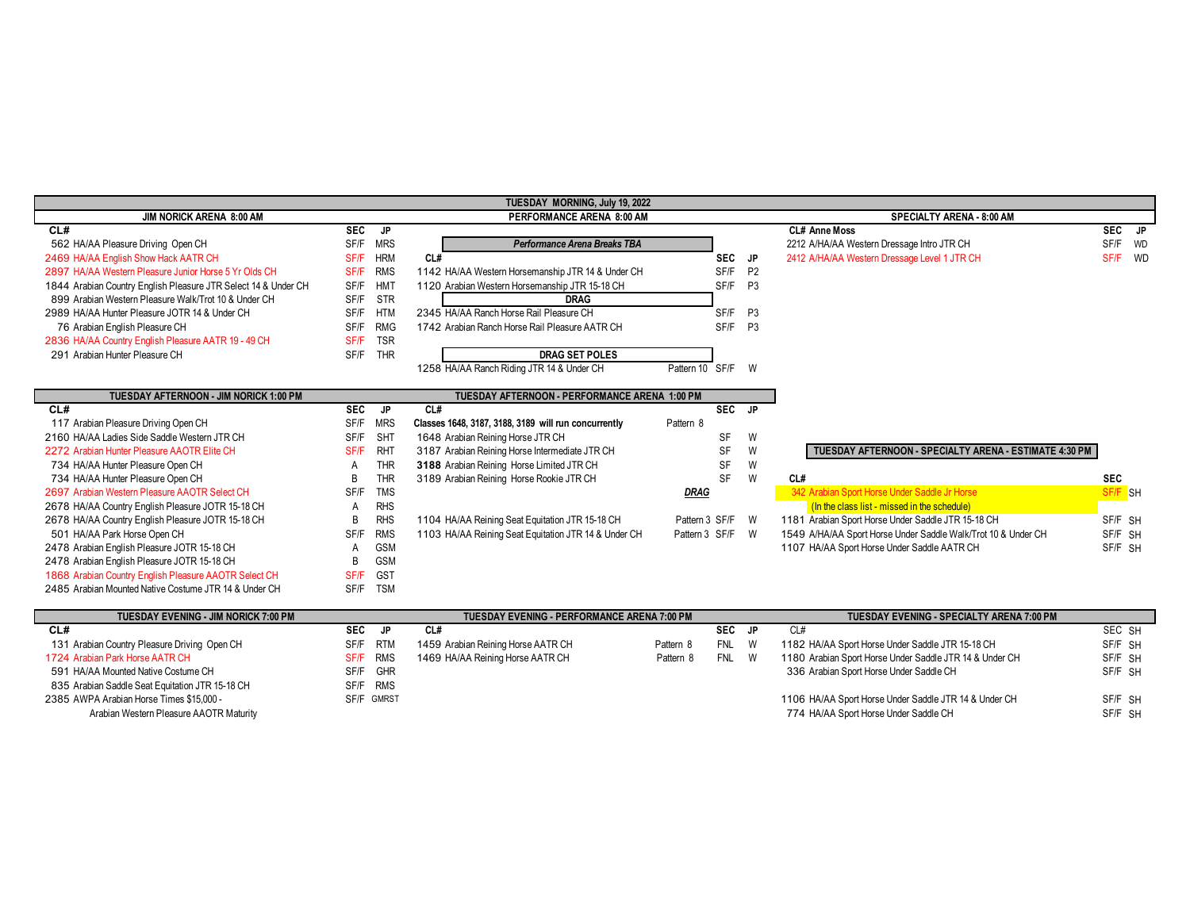|                                                                |            |                           | TUESDAY MORNING, July 19, 2022                       |                  |                           |                |                                                               |            |           |
|----------------------------------------------------------------|------------|---------------------------|------------------------------------------------------|------------------|---------------------------|----------------|---------------------------------------------------------------|------------|-----------|
| JIM NORICK ARENA 8:00 AM                                       |            | PERFORMANCE ARENA 8:00 AM |                                                      |                  | SPECIALTY ARENA - 8:00 AM |                |                                                               |            |           |
| CL#                                                            | <b>SEC</b> | JP.                       |                                                      |                  |                           |                | <b>CL# Anne Moss</b>                                          | <b>SEC</b> | JP        |
| 562 HA/AA Pleasure Driving Open CH                             | SF/F       | <b>MRS</b>                | Performance Arena Breaks TBA                         |                  |                           |                | 2212 A/HA/AA Western Dressage Intro JTR CH                    | SF/F       | <b>WD</b> |
| 2469 HA/AA English Show Hack AATR CH                           | SF/F       | <b>HRM</b>                | CL#                                                  |                  | <b>SEC</b>                | JP.            | 2412 A/HA/AA Western Dressage Level 1 JTR CH                  | SF/F WD    |           |
| 2897 HA/AA Western Pleasure Junior Horse 5 Yr Olds CH          | SF/F       | <b>RMS</b>                | 1142 HA/AA Western Horsemanship JTR 14 & Under CH    |                  | SF/F                      | <b>P2</b>      |                                                               |            |           |
| 1844 Arabian Country English Pleasure JTR Select 14 & Under CH | SF/F       | HM <sub>1</sub>           | 1120 Arabian Western Horsemanship JTR 15-18 CH       |                  | SF/F                      | P <sub>3</sub> |                                                               |            |           |
| 899 Arabian Western Pleasure Walk/Trot 10 & Under CH           | SF/F       | <b>STR</b>                | <b>DRAG</b>                                          |                  |                           |                |                                                               |            |           |
| 2989 HA/AA Hunter Pleasure JOTR 14 & Under CH                  | SF/F       | <b>HTM</b>                | 2345 HA/AA Ranch Horse Rail Pleasure CH              |                  | SF/F                      | P <sub>3</sub> |                                                               |            |           |
| 76 Arabian English Pleasure CH                                 | SF/F       | <b>RMG</b>                | 1742 Arabian Ranch Horse Rail Pleasure AATR CH       |                  | SF/F                      | P <sub>3</sub> |                                                               |            |           |
| 2836 HA/AA Country English Pleasure AATR 19 - 49 CH            | SF/F       | <b>TSR</b>                |                                                      |                  |                           |                |                                                               |            |           |
| 291 Arabian Hunter Pleasure CH                                 | SF/F       | <b>THR</b>                | <b>DRAG SET POLES</b>                                |                  |                           |                |                                                               |            |           |
|                                                                |            |                           | 1258 HA/AA Ranch Riding JTR 14 & Under CH            | Pattern 10 SF/F  |                           | W              |                                                               |            |           |
|                                                                |            |                           |                                                      |                  |                           |                |                                                               |            |           |
| TUESDAY AFTERNOON - JIM NORICK 1:00 PM                         |            |                           | TUESDAY AFTERNOON - PERFORMANCE ARENA 1:00 PM        |                  |                           |                |                                                               |            |           |
| CL#                                                            | SEC        | JP                        | CL#                                                  |                  | SEC JP                    |                |                                                               |            |           |
| 117 Arabian Pleasure Driving Open CH                           | SF/F       | <b>MRS</b>                | Classes 1648, 3187, 3188, 3189 will run concurrently | Pattern 8        |                           |                |                                                               |            |           |
| 2160 HA/AA Ladies Side Saddle Western JTR CH                   | SF/F       | SHT                       | 1648 Arabian Reining Horse JTR CH                    |                  | SF                        | W              |                                                               |            |           |
| 2272 Arabian Hunter Pleasure AAOTR Elite CH                    | SF/F       | <b>RHT</b>                | 3187 Arabian Reining Horse Intermediate JTR CH       |                  | SF                        | W              | TUESDAY AFTERNOON - SPECIALTY ARENA - ESTIMATE 4:30 PM        |            |           |
| 734 HA/AA Hunter Pleasure Open CH                              | A          | <b>THR</b>                | 3188 Arabian Reining Horse Limited JTR CH            |                  | SF                        | W              |                                                               |            |           |
| 734 HA/AA Hunter Pleasure Open CH                              | B          | <b>THR</b>                | 3189 Arabian Reining Horse Rookie JTR CH             |                  | SF                        | W              | CL#                                                           | <b>SEC</b> |           |
| 2697 Arabian Western Pleasure AAOTR Select CH                  | SF/F       | <b>TMS</b>                |                                                      | <b>DRAG</b>      |                           |                | 342 Arabian Sport Horse Under Saddle Jr Horse                 | SF/F SH    |           |
| 2678 HA/AA Country English Pleasure JOTR 15-18 CH              | A          | <b>RHS</b>                |                                                      |                  |                           |                | (In the class list - missed in the schedule)                  |            |           |
| 2678 HA/AA Country English Pleasure JOTR 15-18 CH              | B          | <b>RHS</b>                | 1104 HA/AA Reining Seat Equitation JTR 15-18 CH      | Pattern 3 SF/F   |                           | W              | 1181 Arabian Sport Horse Under Saddle JTR 15-18 CH            | SF/F SH    |           |
| 501 HA/AA Park Horse Open CH                                   | SF/F       | <b>RMS</b>                | 1103 HA/AA Reining Seat Equitation JTR 14 & Under CH | Pattern 3 SF/F W |                           |                | 1549 A/HA/AA Sport Horse Under Saddle Walk/Trot 10 & Under CH | SF/F SH    |           |
| 2478 Arabian English Pleasure JOTR 15-18 CH                    | A          | <b>GSM</b>                |                                                      |                  |                           |                | 1107 HA/AA Sport Horse Under Saddle AATR CH                   | SF/F SH    |           |
| 2478 Arabian English Pleasure JOTR 15-18 CH                    | B          | <b>GSM</b>                |                                                      |                  |                           |                |                                                               |            |           |
| 1868 Arabian Country English Pleasure AAOTR Select CH          | SF/F       | <b>GST</b>                |                                                      |                  |                           |                |                                                               |            |           |
| 2485 Arabian Mounted Native Costume JTR 14 & Under CH          | SF/F       | <b>TSM</b>                |                                                      |                  |                           |                |                                                               |            |           |

| <b>TUESDAY EVENING - JIM NORICK 7:00 PM</b>     |             |            | <b>TUESDAY EVENING - PERFORMANCE ARENA 7:00 PM</b> |           |            |    | TUESDAY EVENING - SPECIALTY ARENA 7:00 PM               |         |
|-------------------------------------------------|-------------|------------|----------------------------------------------------|-----------|------------|----|---------------------------------------------------------|---------|
| CL#                                             | <b>SEC</b>  | JP.        | CL#                                                |           | <b>SEC</b> | JP | CL#                                                     | SEC SH  |
| 131 Arabian Country Pleasure Driving Open CH    | SF/F        | RTM        | 1459 Arabian Reining Horse AATR CH                 | Pattern 8 | <b>FNL</b> |    | 1182 HA/AA Sport Horse Under Saddle JTR 15-18 CH        | SF/F SH |
| 1724 Arabian Park Horse AATR CH                 | <b>SF/F</b> | RMS        | 1469 HA/AA Reining Horse AATR CH                   | Pattern 8 | <b>FNL</b> |    | 1180 Arabian Sport Horse Under Saddle JTR 14 & Under CH | SF/F SH |
| 591 HA/AA Mounted Native Costume CH             | SF/F        | GHR        |                                                    |           |            |    | 336 Arabian Sport Horse Under Saddle CH                 | SF/F SH |
| 835 Arabian Saddle Seat Equitation JTR 15-18 CH | SF/F        | <b>RMS</b> |                                                    |           |            |    |                                                         |         |
| 2385 AWPA Arabian Horse Times \$15,000 -        | SF/F GMRST  |            |                                                    |           |            |    | 1106 HA/AA Sport Horse Under Saddle JTR 14 & Under CH   | SF/F SH |
| Arabian Western Pleasure AAOTR Maturity         |             |            |                                                    |           |            |    | 774 HA/AA Sport Horse Under Saddle CH                   | SF/F SH |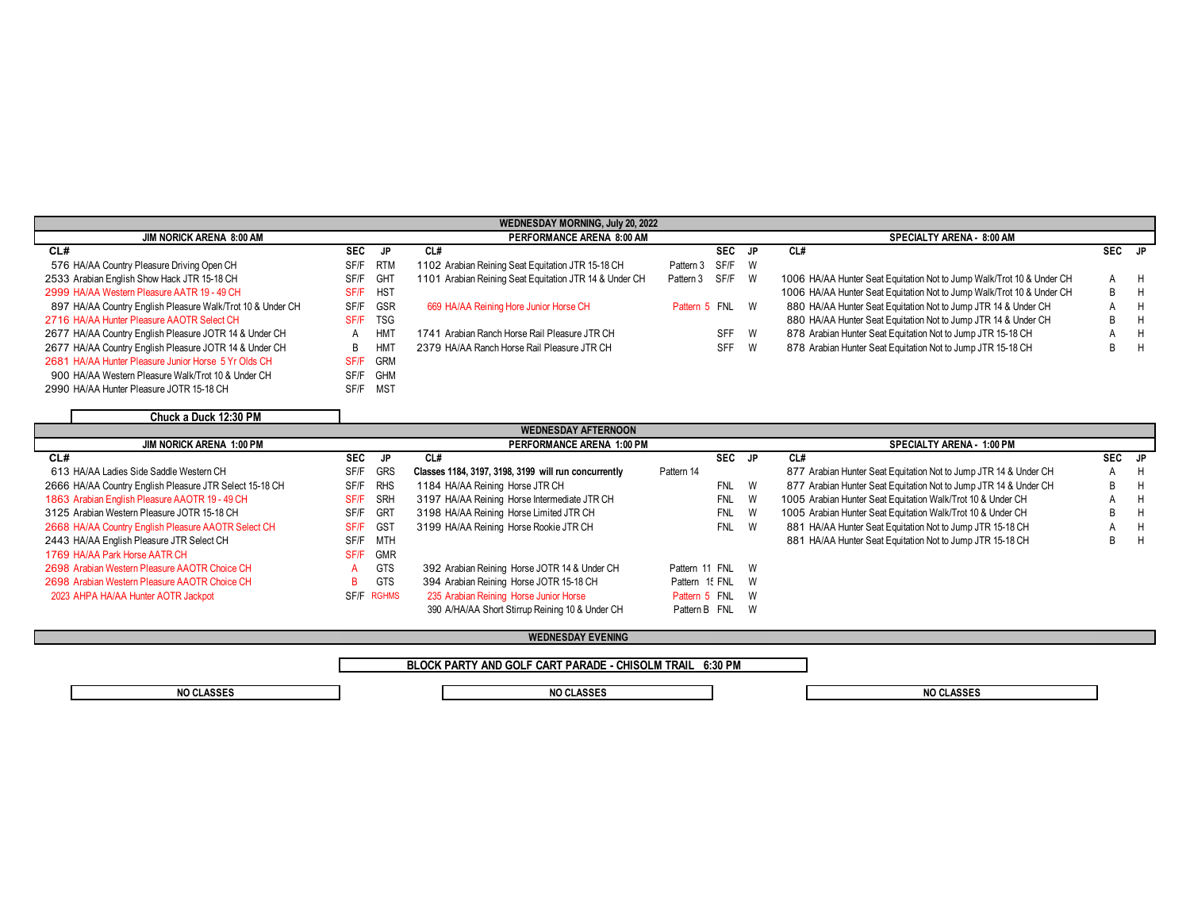|                                                            |            |                           | <b>WEDNESDAY MORNING, July 20, 2022</b>                |                  |            |   |                                                                       |        |   |
|------------------------------------------------------------|------------|---------------------------|--------------------------------------------------------|------------------|------------|---|-----------------------------------------------------------------------|--------|---|
| <b>JIM NORICK ARENA 8:00 AM</b>                            |            | PERFORMANCE ARENA 8:00 AM |                                                        |                  |            |   | <b>SPECIALTY ARENA - 8:00 AM</b>                                      |        |   |
| CL#                                                        | <b>SEC</b> | JP                        | CL#                                                    |                  | <b>SEC</b> |   | CL#                                                                   | SEC JP |   |
| 576 HA/AA Country Pleasure Driving Open CH                 | SF/F       | RTM                       | 1102 Arabian Reining Seat Equitation JTR 15-18 CH      | Pattern 3 SF/F W |            |   |                                                                       |        |   |
| 2533 Arabian English Show Hack JTR 15-18 CH                | SF/F       | GHT                       | 1101 Arabian Reining Seat Equitation JTR 14 & Under CH | Pattern 3 SF/F W |            |   | 1006 HA/AA Hunter Seat Equitation Not to Jump Walk/Trot 10 & Under CH | A      | H |
| 2999 HA/AA Western Pleasure AATR 19 - 49 CH                | SF/F       | <b>HST</b>                |                                                        |                  |            |   | 1006 HA/AA Hunter Seat Equitation Not to Jump Walk/Trot 10 & Under CH | B.     | H |
| 897 HA/AA Country English Pleasure Walk/Trot 10 & Under CH | SF/F       | GSR                       | 669 HA/AA Reining Hore Junior Horse CH                 | Pattern 5 FNL W  |            |   | 880 HA/AA Hunter Seat Equitation Not to Jump JTR 14 & Under CH        |        | н |
| 2716 HA/AA Hunter Pleasure AAOTR Select CH                 | SF/F       | TSG                       |                                                        |                  |            |   | 880 HA/AA Hunter Seat Equitation Not to Jump JTR 14 & Under CH        | B.     | н |
| 2677 HA/AA Country English Pleasure JOTR 14 & Under CH     | A          | HM <sup>7</sup>           | 1741 Arabian Ranch Horse Rail Pleasure JTR CH          |                  | SFF        | W | 878 Arabian Hunter Seat Equitation Not to Jump JTR 15-18 CH           |        | н |
| 2677 HA/AA Country English Pleasure JOTR 14 & Under CH     | B          | $HM^-$                    | 2379 HA/AA Ranch Horse Rail Pleasure JTR CH            |                  | <b>SFF</b> | W | 878 Arabian Hunter Seat Equitation Not to Jump JTR 15-18 CH           | B.     | H |
| 2681 HA/AA Hunter Pleasure Junior Horse 5 Yr Olds CH       | SF/F       | <b>GRM</b>                |                                                        |                  |            |   |                                                                       |        |   |
| 900 HA/AA Western Pleasure Walk/Trot 10 & Under CH         | SF/F       | <b>GHM</b>                |                                                        |                  |            |   |                                                                       |        |   |
| 2990 HA/AA Hunter Pleasure JOTR 15-18 CH                   | SF/F       | MST                       |                                                        |                  |            |   |                                                                       |        |   |

| Chuck a Duck 12:30 PM |  |  |
|-----------------------|--|--|

| <b>WEDNESDAY AFTERNOON</b>                              |                    |                                                      |                  |                 |                                                                  |        |     |  |  |  |  |
|---------------------------------------------------------|--------------------|------------------------------------------------------|------------------|-----------------|------------------------------------------------------------------|--------|-----|--|--|--|--|
| <b>JIM NORICK ARENA 1:00 PM</b>                         |                    | PERFORMANCE ARENA 1:00 PM                            |                  |                 | <b>SPECIALTY ARENA - 1:00 PM</b>                                 |        |     |  |  |  |  |
| CL#                                                     | <b>SEC</b><br>JP   | CL#                                                  |                  | SEC JP          | CL#                                                              | SEC JP |     |  |  |  |  |
| 613 HA/AA Ladies Side Saddle Western CH                 | GRS<br>SF/F        | Classes 1184, 3197, 3198, 3199 will run concurrently | Pattern 14       |                 | 877 Arabian Hunter Seat Equitation Not to Jump JTR 14 & Under CH |        | A H |  |  |  |  |
| 2666 HA/AA Country English Pleasure JTR Select 15-18 CH | RHS<br>SF/F        | 1184 HA/AA Reining Horse JTR CH                      |                  | FNL<br>W        | 877 Arabian Hunter Seat Equitation Not to Jump JTR 14 & Under CH |        | B H |  |  |  |  |
| 1863 Arabian English Pleasure AAOTR 19 - 49 CH          | <b>SRH</b><br>SF/F | 3197 HA/AA Reining Horse Intermediate JTR CH         | FNL              | W               | 1005 Arabian Hunter Seat Equitation Walk/Trot 10 & Under CH      |        | A H |  |  |  |  |
| 3125 Arabian Western Pleasure JOTR 15-18 CH             | GRT<br>SF/F        | 3198 HA/AA Reining Horse Limited JTR CH              |                  | <b>FNL</b><br>W | 1005 Arabian Hunter Seat Equitation Walk/Trot 10 & Under CH      | B      | H   |  |  |  |  |
| 2668 HA/AA Country English Pleasure AAOTR Select CH     | <b>GST</b><br>SF/F | 3199 HA/AA Reining Horse Rookie JTR CH               |                  | FNL W           | 881 HA/AA Hunter Seat Equitation Not to Jump JTR 15-18 CH        |        | A H |  |  |  |  |
| 2443 HA/AA English Pleasure JTR Select CH               | MTH<br>SF/F        |                                                      |                  |                 | 881 HA/AA Hunter Seat Equitation Not to Jump JTR 15-18 CH        |        | B H |  |  |  |  |
| 1769 HA/AA Park Horse AATR CH                           | SF/F<br><b>GMR</b> |                                                      |                  |                 |                                                                  |        |     |  |  |  |  |
| 2698 Arabian Western Pleasure AAOTR Choice CH           | <b>GTS</b>         | 392 Arabian Reining Horse JOTR 14 & Under CH         | Pattern 11 FNL W |                 |                                                                  |        |     |  |  |  |  |
| 2698 Arabian Western Pleasure AAOTR Choice CH           | <b>GTS</b><br>в.   | 394 Arabian Reining Horse JOTR 15-18 CH              | Pattern 15 FNL W |                 |                                                                  |        |     |  |  |  |  |
| 2023 AHPA HA/AA Hunter AOTR Jackpot                     | SF/F RGHMS         | 235 Arabian Reining Horse Junior Horse               | Pattern 5 FNL W  |                 |                                                                  |        |     |  |  |  |  |
|                                                         |                    | 390 A/HA/AA Short Stirrup Reining 10 & Under CH      | Pattern B FNL W  |                 |                                                                  |        |     |  |  |  |  |

# **WEDNESDAY EVENING**

**BLOCK PARTY AND GOLF CART PARADE - CHISOLM TRAIL 6:30 PM**

**NO CLASSES NO CLASSES NO CLASSES**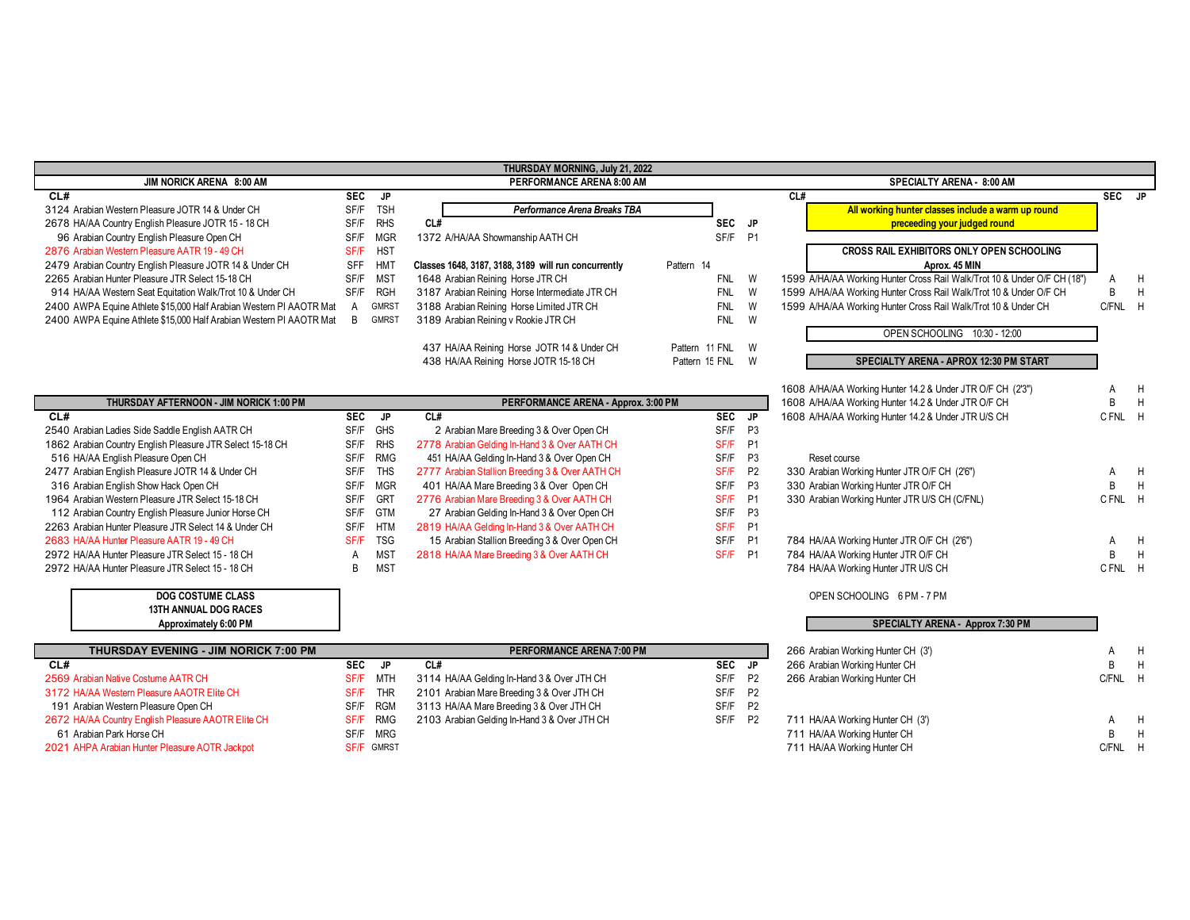| THURSDAY MORNING, July 21, 2022                                     |                |                   |                                                      |                  |                |                                                                          |                |   |  |  |
|---------------------------------------------------------------------|----------------|-------------------|------------------------------------------------------|------------------|----------------|--------------------------------------------------------------------------|----------------|---|--|--|
| JIM NORICK ARENA 8:00 AM                                            |                |                   | PERFORMANCE ARENA 8:00 AM                            |                  |                | SPECIALTY ARENA - 8:00 AM                                                |                |   |  |  |
| CL#                                                                 | <b>SEC</b>     | JP.               |                                                      |                  |                | CL#                                                                      | SEC JP         |   |  |  |
| 3124 Arabian Western Pleasure JOTR 14 & Under CH                    | SF/F           | <b>TSH</b>        | Performance Arena Breaks TBA                         |                  |                | All working hunter classes include a warm up round                       |                |   |  |  |
| 2678 HA/AA Country English Pleasure JOTR 15 - 18 CH                 | SF/F           | <b>RHS</b>        | CL#                                                  | SEC JP           |                | preceeding your judged round                                             |                |   |  |  |
| 96 Arabian Country English Pleasure Open CH                         | SF/F           | <b>MGR</b>        | 1372 A/HA/AA Showmanship AATH CH                     | SF/F             | <b>P1</b>      |                                                                          |                |   |  |  |
| 2876 Arabian Western Pleasure AATR 19 - 49 CH                       | SF/F           | <b>HST</b>        |                                                      |                  |                | <b>CROSS RAIL EXHIBITORS ONLY OPEN SCHOOLING</b>                         |                |   |  |  |
| 2479 Arabian Country English Pleasure JOTR 14 & Under CH            | SFF            | <b>HMT</b>        | Classes 1648, 3187, 3188, 3189 will run concurrently | Pattern 14       |                | Aprox. 45 MIN                                                            |                |   |  |  |
| 2265 Arabian Hunter Pleasure JTR Select 15-18 CH                    | SF/F           | <b>MST</b>        | 1648 Arabian Reining Horse JTR CH                    | <b>FNL</b>       | W              | 1599 A/HA/AA Working Hunter Cross Rail Walk/Trot 10 & Under O/F CH (18") | A              | H |  |  |
| 914 HA/AA Western Seat Equitation Walk/Trot 10 & Under CH           | SF/F           | <b>RGH</b>        | 3187 Arabian Reining Horse Intermediate JTR CH       | <b>FNL</b>       | W              | 1599 A/HA/AA Working Hunter Cross Rail Walk/Trot 10 & Under O/F CH       | <sub>R</sub>   | H |  |  |
| 2400 AWPA Equine Athlete \$15,000 Half Arabian Western PI AAOTR Mat | $\mathsf{A}$   | GMRS1             | 3188 Arabian Reining Horse Limited JTR CH            | <b>FNL</b>       | W              | 1599 A/HA/AA Working Hunter Cross Rail Walk/Trot 10 & Under CH           | C/FNL H        |   |  |  |
| 2400 AWPA Equine Athlete \$15,000 Half Arabian Western PI AAOTR Mat | $\overline{B}$ | GMRST             | 3189 Arabian Reining v Rookie JTR CH                 | <b>FNL</b>       | W              |                                                                          |                |   |  |  |
|                                                                     |                |                   |                                                      |                  |                | OPEN SCHOOLING 10:30 - 12:00                                             |                |   |  |  |
|                                                                     |                |                   | 437 HA/AA Reining Horse JOTR 14 & Under CH           | Pattern 11 FNL   | W              |                                                                          |                |   |  |  |
|                                                                     |                |                   | 438 HA/AA Reining Horse JOTR 15-18 CH                | Pattern 15 FNL W |                | SPECIALTY ARENA - APROX 12:30 PM START                                   |                |   |  |  |
|                                                                     |                |                   |                                                      |                  |                |                                                                          |                |   |  |  |
|                                                                     |                |                   |                                                      |                  |                | 1608 A/HA/AA Working Hunter 14.2 & Under JTR O/F CH (2'3")               | A              | H |  |  |
| THURSDAY AFTERNOON - JIM NORICK 1:00 PM                             |                |                   | PERFORMANCE ARENA - Approx. 3:00 PM                  |                  |                | 1608 A/HA/AA Working Hunter 14.2 & Under JTR O/F CH                      | B              | H |  |  |
| CL#                                                                 | <b>SEC</b>     | <b>JP</b>         | CL#                                                  | SEC JP           |                | 1608 A/HA/AA Working Hunter 14.2 & Under JTR U/S CH                      | C FNL H        |   |  |  |
| 2540 Arabian Ladies Side Saddle English AATR CH                     | SF/F           | GHS               | 2 Arabian Mare Breeding 3 & Over Open CH             | SF/F             | P3             |                                                                          |                |   |  |  |
| 1862 Arabian Country English Pleasure JTR Select 15-18 CH           | SF/F           | <b>RHS</b>        | 2778 Arabian Gelding In-Hand 3 & Over AATH CH        | SF/F             | <b>P1</b>      |                                                                          |                |   |  |  |
| 516 HA/AA English Pleasure Open CH                                  | SF/F           | <b>RMG</b>        | 451 HA/AA Gelding In-Hand 3 & Over Open CH           | SF/F             | P <sub>3</sub> | Reset course                                                             |                |   |  |  |
| 2477 Arabian English Pleasure JOTR 14 & Under CH                    | SF/F           | <b>THS</b>        | 2777 Arabian Stallion Breeding 3 & Over AATH CH      | SF/F             | P <sub>2</sub> | 330 Arabian Working Hunter JTR O/F CH (2'6")                             | A              | H |  |  |
| 316 Arabian English Show Hack Open CH                               | SF/F           | <b>MGR</b>        | 401 HA/AA Mare Breeding 3 & Over Open CH             | SF/F             | P <sub>3</sub> | 330 Arabian Working Hunter JTR O/F CH                                    | B              | H |  |  |
| 1964 Arabian Western Pleasure JTR Select 15-18 CH                   | SF/F           | GRT               | 2776 Arabian Mare Breeding 3 & Over AATH CH          | SF/F             | P <sub>1</sub> | 330 Arabian Working Hunter JTR U/S CH (C/FNL)                            | C FNL H        |   |  |  |
| 112 Arabian Country English Pleasure Junior Horse CH                | SF/F           | <b>GTM</b>        | 27 Arabian Gelding In-Hand 3 & Over Open CH          | SF/F             | P <sub>3</sub> |                                                                          |                |   |  |  |
| 2263 Arabian Hunter Pleasure JTR Select 14 & Under CH               | SF/F           | <b>HTM</b>        | 2819 HA/AA Gelding In-Hand 3 & Over AATH CH          | SF/F             | <b>P1</b>      |                                                                          |                |   |  |  |
| 2683 HA/AA Hunter Pleasure AATR 19 - 49 CH                          | SF/F           | <b>TSG</b>        | 15 Arabian Stallion Breeding 3 & Over Open CH        | SF/F             | <b>P1</b>      | 784 HA/AA Working Hunter JTR O/F CH (2'6")                               | A              | H |  |  |
| 2972 HA/AA Hunter Pleasure JTR Select 15 - 18 CH                    | Α              | <b>MST</b>        | 2818 HA/AA Mare Breeding 3 & Over AATH CH            | SF/F P1          |                | 784 HA/AA Working Hunter JTR O/F CH                                      | B              | H |  |  |
| 2972 HA/AA Hunter Pleasure JTR Select 15 - 18 CH                    | B              | <b>MST</b>        |                                                      |                  |                | 784 HA/AA Working Hunter JTR U/S CH                                      | CFNL H         |   |  |  |
|                                                                     |                |                   |                                                      |                  |                |                                                                          |                |   |  |  |
| <b>DOG COSTUME CLASS</b>                                            |                |                   |                                                      |                  |                | OPEN SCHOOLING 6 PM - 7 PM                                               |                |   |  |  |
| <b>13TH ANNUAL DOG RACES</b>                                        |                |                   |                                                      |                  |                |                                                                          |                |   |  |  |
| Approximately 6:00 PM                                               |                |                   |                                                      |                  |                | SPECIALTY ARENA - Approx 7:30 PM                                         |                |   |  |  |
|                                                                     |                |                   |                                                      |                  |                |                                                                          |                |   |  |  |
| THURSDAY EVENING - JIM NORICK 7:00 PM                               |                |                   | PERFORMANCE ARENA 7:00 PM                            |                  |                | 266 Arabian Working Hunter CH (3')                                       | A              | H |  |  |
| CL#                                                                 | <b>SEC</b>     | JP.               | CL#                                                  | <b>SEC</b>       | <b>JP</b>      | 266 Arabian Working Hunter CH                                            | B              | H |  |  |
| 2569 Arabian Native Costume AATR CH                                 | SF/F           | <b>MTH</b>        | 3114 HA/AA Gelding In-Hand 3 & Over JTH CH           | SF/F             | <b>P2</b>      | 266 Arabian Working Hunter CH                                            | C/FNL          | H |  |  |
| 3172 HA/AA Western Pleasure AAOTR Elite CH                          | SF/F           | <b>THR</b>        | 2101 Arabian Mare Breeding 3 & Over JTH CH           | SF/F             | <b>P2</b>      |                                                                          |                |   |  |  |
| 191 Arabian Western Pleasure Open CH                                | SF/F           | <b>RGM</b>        | 3113 HA/AA Mare Breeding 3 & Over JTH CH             | SF/F             | <b>P2</b>      |                                                                          |                |   |  |  |
| 2672 HA/AA Country English Pleasure AAOTR Elite CH                  | SF/F           | <b>RMG</b>        | 2103 Arabian Gelding In-Hand 3 & Over JTH CH         | SF/F             | <b>P2</b>      | 711 HA/AA Working Hunter CH (3')                                         | $\overline{A}$ | H |  |  |
| 61 Arabian Park Horse CH                                            | SF/F           | <b>MRG</b>        |                                                      |                  |                | 711 HA/AA Working Hunter CH                                              | B              | H |  |  |
| 2021 AHPA Arabian Hunter Pleasure AOTR Jackpot                      |                | <b>SF/F GMRST</b> |                                                      |                  |                | 711 HA/AA Working Hunter CH                                              | C/FNL          | H |  |  |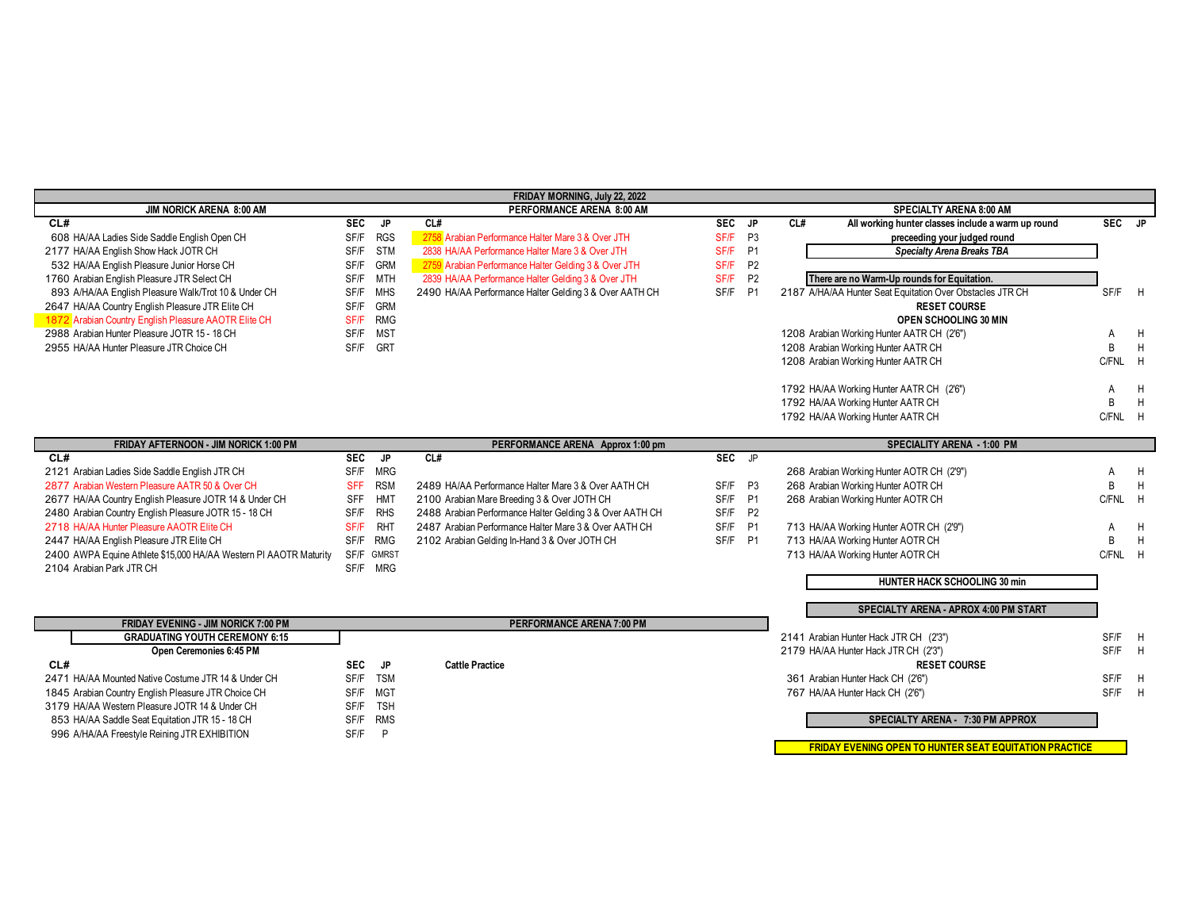| FRIDAY MORNING, July 22, 2022                                     |            |            |                                                          |            |                |     |                                                               |              |   |
|-------------------------------------------------------------------|------------|------------|----------------------------------------------------------|------------|----------------|-----|---------------------------------------------------------------|--------------|---|
| JIM NORICK ARENA 8:00 AM                                          |            |            | PERFORMANCE ARENA 8:00 AM                                |            |                |     | <b>SPECIALTY ARENA 8:00 AM</b>                                |              |   |
| CL#                                                               | <b>SEC</b> | JP.        | CL#                                                      | <b>SEC</b> | JP             | CL# | All working hunter classes include a warm up round            | SEC JP       |   |
| 608 HA/AA Ladies Side Saddle English Open CH                      | SF/F       | <b>RGS</b> | 2758 Arabian Performance Halter Mare 3 & Over JTH        | SF/F       | P3             |     | preceeding your judged round                                  |              |   |
| 2177 HA/AA English Show Hack JOTR CH                              | SF/F       | <b>STM</b> | 2838 HA/AA Performance Halter Mare 3 & Over JTH          | SF/F       | <b>P1</b>      |     | <b>Specialty Arena Breaks TBA</b>                             |              |   |
| 532 HA/AA English Pleasure Junior Horse CH                        | SF/F       | <b>GRM</b> | 2759 Arabian Performance Halter Gelding 3 & Over JTH     | SF/F       | P <sub>2</sub> |     |                                                               |              |   |
| 1760 Arabian English Pleasure JTR Select CH                       | SF/F       | <b>MTH</b> | 2839 HA/AA Performance Halter Gelding 3 & Over JTH       | SF/F       | P <sub>2</sub> |     | There are no Warm-Up rounds for Equitation.                   |              |   |
| 893 A/HA/AA English Pleasure Walk/Trot 10 & Under CH              | SF/F       | <b>MHS</b> | 2490 HA/AA Performance Halter Gelding 3 & Over AATH CH   | SF/F       | <b>P1</b>      |     | 2187 A/HA/AA Hunter Seat Equitation Over Obstacles JTR CH     | SF/F H       |   |
| 2647 HA/AA Country English Pleasure JTR Elite CH                  | SF/F       | <b>GRM</b> |                                                          |            |                |     | <b>RESET COURSE</b>                                           |              |   |
| 1872 Arabian Country English Pleasure AAOTR Elite CH              | SF/F       | <b>RMG</b> |                                                          |            |                |     | OPEN SCHOOLING 30 MIN                                         |              |   |
| 2988 Arabian Hunter Pleasure JOTR 15 - 18 CH                      | SF/F       | <b>MST</b> |                                                          |            |                |     | 1208 Arabian Working Hunter AATR CH (2'6")                    | A            | H |
| 2955 HA/AA Hunter Pleasure JTR Choice CH                          | SF/F       | <b>GRT</b> |                                                          |            |                |     | 1208 Arabian Working Hunter AATR CH                           | B            | H |
|                                                                   |            |            |                                                          |            |                |     | 1208 Arabian Working Hunter AATR CH                           | C/FNL H      |   |
|                                                                   |            |            |                                                          |            |                |     |                                                               |              |   |
|                                                                   |            |            |                                                          |            |                |     | 1792 HA/AA Working Hunter AATR CH (2'6")                      |              | H |
|                                                                   |            |            |                                                          |            |                |     | 1792 HA/AA Working Hunter AATR CH                             | B            | H |
|                                                                   |            |            |                                                          |            |                |     | 1792 HA/AA Working Hunter AATR CH                             | C/FNL H      |   |
|                                                                   |            |            |                                                          |            |                |     |                                                               |              |   |
| FRIDAY AFTERNOON - JIM NORICK 1:00 PM                             |            |            | PERFORMANCE ARENA Approx 1:00 pm                         |            |                |     | <b>SPECIALITY ARENA - 1:00 PM</b>                             |              |   |
| CL#                                                               | SEC        | JP         | CL#                                                      | SEC JP     |                |     |                                                               |              |   |
| 2121 Arabian Ladies Side Saddle English JTR CH                    | SF/F       | <b>MRG</b> |                                                          |            |                |     | 268 Arabian Working Hunter AOTR CH (2'9")                     | А            | H |
| 2877 Arabian Western Pleasure AATR 50 & Over CH                   | <b>SFF</b> | <b>RSM</b> | 2489 HA/AA Performance Halter Mare 3 & Over AATH CH      | SF/F P3    |                |     | 268 Arabian Working Hunter AOTR CH                            | R            | H |
| 2677 HA/AA Country English Pleasure JOTR 14 & Under CH            | <b>SFF</b> | <b>HMT</b> | 2100 Arabian Mare Breeding 3 & Over JOTH CH              | SF/F       | <b>P1</b>      |     | 268 Arabian Working Hunter AOTR CH                            | C/FNL H      |   |
| 2480 Arabian Country English Pleasure JOTR 15 - 18 CH             | SF/F       | <b>RHS</b> | 2488 Arabian Performance Halter Gelding 3 & Over AATH CH | SF/F       | <b>P2</b>      |     |                                                               |              |   |
| 2718 HA/AA Hunter Pleasure AAOTR Elite CH                         | SF/F       | <b>RHT</b> | 2487 Arabian Performance Halter Mare 3 & Over AATH CH    | SF/F       | <b>P1</b>      |     | 713 HA/AA Working Hunter AOTR CH (2'9")                       |              | H |
| 2447 HA/AA English Pleasure JTR Elite CH                          | SF/F       | <b>RMG</b> | 2102 Arabian Gelding In-Hand 3 & Over JOTH CH            | SF/F P1    |                |     | 713 HA/AA Working Hunter AOTR CH                              | <sub>R</sub> | H |
| 2400 AWPA Equine Athlete \$15,000 HA/AA Western PI AAOTR Maturity | SF/F       | GMRST      |                                                          |            |                |     | 713 HA/AA Working Hunter AOTR CH                              | C/FNL H      |   |
| 2104 Arabian Park JTR CH                                          |            | SF/F MRG   |                                                          |            |                |     |                                                               |              |   |
|                                                                   |            |            |                                                          |            |                |     | HUNTER HACK SCHOOLING 30 min                                  |              |   |
|                                                                   |            |            |                                                          |            |                |     |                                                               |              |   |
|                                                                   |            |            |                                                          |            |                |     | <b>SPECIALTY ARENA - APROX 4:00 PM START</b>                  |              |   |
| FRIDAY EVENING - JIM NORICK 7:00 PM                               |            |            | PERFORMANCE ARENA 7:00 PM                                |            |                |     |                                                               |              |   |
| <b>GRADUATING YOUTH CEREMONY 6:15</b>                             |            |            |                                                          |            |                |     | 2141 Arabian Hunter Hack JTR CH (2'3")                        | SF/F         | H |
| Open Ceremonies 6:45 PM                                           |            |            |                                                          |            |                |     | 2179 HA/AA Hunter Hack JTR CH (2'3")                          | SF/F         | H |
| CL#                                                               | <b>SEC</b> | <b>JP</b>  | <b>Cattle Practice</b>                                   |            |                |     | <b>RESET COURSE</b>                                           |              |   |
| 2471 HA/AA Mounted Native Costume JTR 14 & Under CH               | SF/F       | <b>TSM</b> |                                                          |            |                |     | 361 Arabian Hunter Hack CH (2'6")                             | SF/F         | H |
| 1845 Arabian Country English Pleasure JTR Choice CH               | SF/F       | <b>MGT</b> |                                                          |            |                |     | 767 HA/AA Hunter Hack CH (2'6")                               | SF/F         | H |
| 3179 HA/AA Western Pleasure JOTR 14 & Under CH                    | SF/F       | <b>TSH</b> |                                                          |            |                |     |                                                               |              |   |
| 853 HA/AA Saddle Seat Equitation JTR 15 - 18 CH                   | SF/F       | <b>RMS</b> |                                                          |            |                |     | SPECIALTY ARENA - 7:30 PM APPROX                              |              |   |
| 996 A/HA/AA Freestyle Reining JTR EXHIBITION                      | SF/F       | P          |                                                          |            |                |     |                                                               |              |   |
|                                                                   |            |            |                                                          |            |                |     | <b>FRIDAY EVENING OPEN TO HUNTER SEAT EQUITATION PRACTICE</b> |              |   |